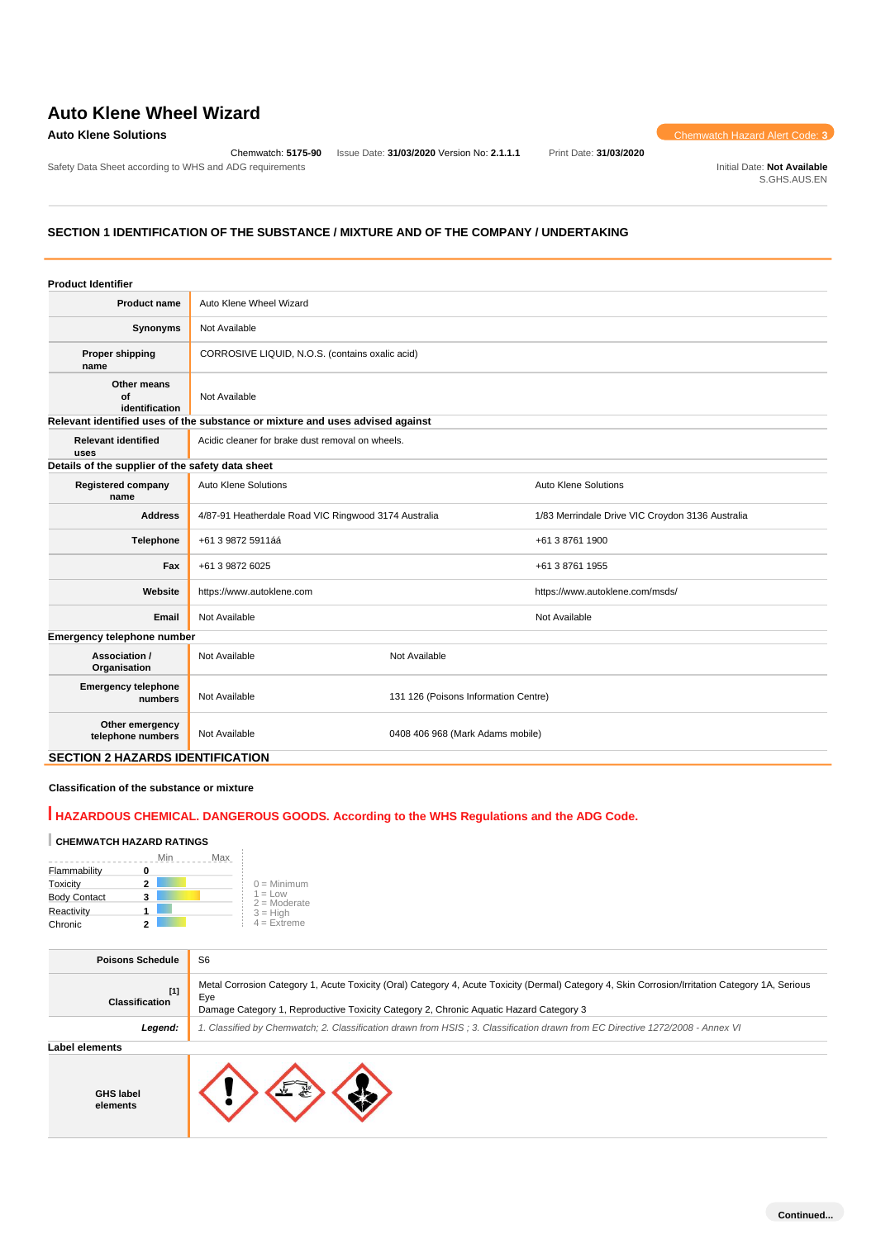# **Auto Klene Wheel Wizard**

Safety Data Sheet according to WHS and ADG requirements **Initial Date: Not Available** Initial Date: Not Available

Chemwatch: **5175-90** Issue Date: **31/03/2020** Version No: **2.1.1.1** Print Date: **31/03/2020**

**Auto Klene Solutions** Chemwatch Hazard Alert Code: **3** 

S.GHS.AUS.EN

# **SECTION 1 IDENTIFICATION OF THE SUBSTANCE / MIXTURE AND OF THE COMPANY / UNDERTAKING**

| <b>Product Identifier</b>               |                                                                               |                                      |                                                  |  |
|-----------------------------------------|-------------------------------------------------------------------------------|--------------------------------------|--------------------------------------------------|--|
| <b>Product name</b>                     | Auto Klene Wheel Wizard                                                       |                                      |                                                  |  |
| Synonyms                                | Not Available                                                                 |                                      |                                                  |  |
| <b>Proper shipping</b><br>name          | CORROSIVE LIQUID, N.O.S. (contains oxalic acid)                               |                                      |                                                  |  |
| Other means<br>Οf<br>identification     | Not Available                                                                 |                                      |                                                  |  |
|                                         | Relevant identified uses of the substance or mixture and uses advised against |                                      |                                                  |  |
| <b>Relevant identified</b><br>uses      | Acidic cleaner for brake dust removal on wheels.                              |                                      |                                                  |  |
|                                         | Details of the supplier of the safety data sheet                              |                                      |                                                  |  |
| <b>Registered company</b><br>name       | Auto Klene Solutions                                                          |                                      | <b>Auto Klene Solutions</b>                      |  |
| <b>Address</b>                          | 4/87-91 Heatherdale Road VIC Ringwood 3174 Australia                          |                                      | 1/83 Merrindale Drive VIC Croydon 3136 Australia |  |
| <b>Telephone</b>                        | +61 3 9872 5911áá                                                             |                                      | +61 3 8761 1900                                  |  |
| Fax                                     | +61 3 9872 6025                                                               |                                      | +61 3 8761 1955                                  |  |
| Website                                 | https://www.autoklene.com                                                     |                                      | https://www.autoklene.com/msds/                  |  |
| Email                                   | Not Available                                                                 |                                      | Not Available                                    |  |
| Emergency telephone number              |                                                                               |                                      |                                                  |  |
| Association /<br>Organisation           | Not Available                                                                 | Not Available                        |                                                  |  |
| <b>Emergency telephone</b><br>numbers   | Not Available                                                                 | 131 126 (Poisons Information Centre) |                                                  |  |
| Other emergency<br>telephone numbers    | Not Available<br>0408 406 968 (Mark Adams mobile)                             |                                      |                                                  |  |
| <b>SECTION 2 HAZARDS IDENTIFICATION</b> |                                                                               |                                      |                                                  |  |

### **Classification of the substance or mixture**

# **HAZARDOUS CHEMICAL. DANGEROUS GOODS. According to the WHS Regulations and the ADG Code.**

## **CHEMWATCH HAZARD RATINGS**

|                          | Min<br>Max |                             |
|--------------------------|------------|-----------------------------|
| Flammability             |            |                             |
| Toxicity                 |            | $0 =$ Minimum               |
| <b>Body Contact</b><br>3 |            | $1 = Low$<br>$2 =$ Moderate |
| Reactivity               |            | $3 = High$                  |
| Chronic                  |            | $4 =$ Extreme               |

| <b>Poisons Schedule</b>        | S <sub>6</sub>                                                                                                                                                                                                                                    |
|--------------------------------|---------------------------------------------------------------------------------------------------------------------------------------------------------------------------------------------------------------------------------------------------|
| $[1]$<br><b>Classification</b> | Metal Corrosion Category 1, Acute Toxicity (Oral) Category 4, Acute Toxicity (Dermal) Category 4, Skin Corrosion/Irritation Category 1A, Serious<br>Eve<br>Damage Category 1, Reproductive Toxicity Category 2, Chronic Aquatic Hazard Category 3 |
| Legend:                        | 1. Classified by Chemwatch; 2. Classification drawn from HSIS; 3. Classification drawn from EC Directive 1272/2008 - Annex VI                                                                                                                     |
| Label elements                 |                                                                                                                                                                                                                                                   |

**GHS label elements**

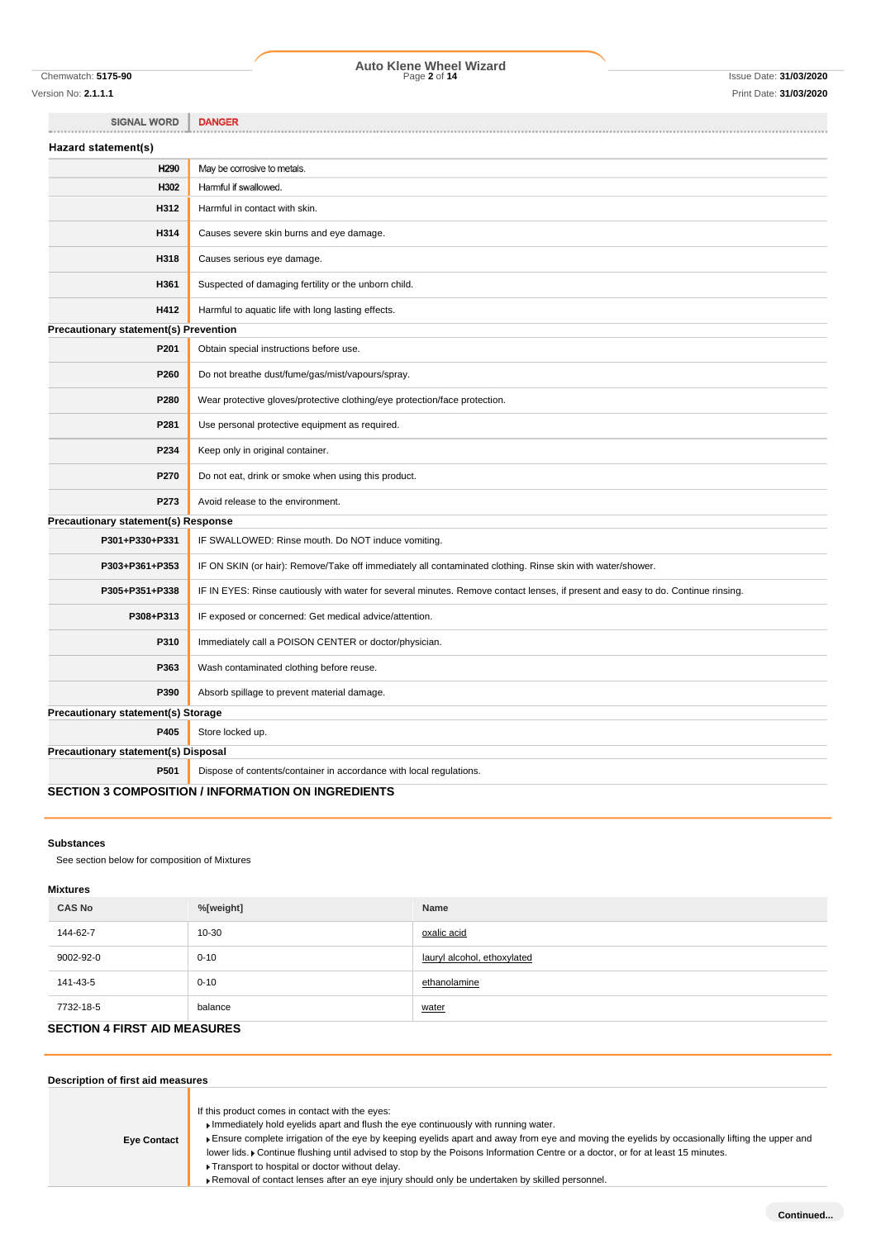Version No: **2.1.1.1** Print Date: **31/03/2020**

# Chemwatch: **5175-90** Page **2** of **14** Issue Date: **31/03/2020 Auto Klene Wheel Wizard**

**SIGNAL WORD DANGER** Hazard statement(s) H290 May be corrosive to metals. H302 Harmful if swallowed. **H312** Harmful in contact with skin. **H314** Causes severe skin burns and eye damage. **H318** Causes serious eye damage. **H361** Suspected of damaging fertility or the unborn child. **H412** Harmful to aquatic life with long lasting effects. **Precautionary statement(s) Prevention P201** Obtain special instructions before use. **P260** Do not breathe dust/fume/gas/mist/vapours/spray. **P280** Wear protective gloves/protective clothing/eye protection/face protection. **P281** Use personal protective equipment as required. **P234** Keep only in original container. **P270** Do not eat, drink or smoke when using this product. **P273** Avoid release to the environment. **Precautionary statement(s) Response P301+P330+P331** IF SWALLOWED: Rinse mouth. Do NOT induce vomiting. P303+P361+P353 | IF ON SKIN (or hair): Remove/Take off immediately all contaminated clothing. Rinse skin with water/shower. **P305+P351+P338** IF IN EYES: Rinse cautiously with water for several minutes. Remove contact lenses, if present and easy to do. Continue rinsing. **P308+P313** IF exposed or concerned: Get medical advice/attention. **P310** Immediately call a POISON CENTER or doctor/physician. **P363** Wash contaminated clothing before reuse. **P390** Absorb spillage to prevent material damage. **Precautionary statement(s) Storage P405** Store locked up. **Precautionary statement(s) Disposal P501** Dispose of contents/container in accordance with local regulations.

# **SECTION 3 COMPOSITION / INFORMATION ON INGREDIENTS**

### **Substances**

See section below for composition of Mixtures

### **Mixtures**

| <b>CAS No</b>                       | %[weight] | Name                        |
|-------------------------------------|-----------|-----------------------------|
| 144-62-7                            | $10 - 30$ | oxalic acid                 |
| 9002-92-0                           | $0 - 10$  | lauryl alcohol, ethoxylated |
| 141-43-5                            | $0 - 10$  | ethanolamine                |
| 7732-18-5                           | balance   | water                       |
| $0.0000011$ $0.0000001$ $0.0000000$ |           |                             |

# **SECTION 4 FIRST AID MEASURES**

| Description of first aid measures |                                                                                                                                                                                                                                                                                                                                                                                                                                                                                                                                                                                |
|-----------------------------------|--------------------------------------------------------------------------------------------------------------------------------------------------------------------------------------------------------------------------------------------------------------------------------------------------------------------------------------------------------------------------------------------------------------------------------------------------------------------------------------------------------------------------------------------------------------------------------|
| <b>Eye Contact</b>                | If this product comes in contact with the eyes:<br>Immediately hold eyelids apart and flush the eye continuously with running water.<br>Ensure complete irrigation of the eye by keeping eyelids apart and away from eye and moving the eyelids by occasionally lifting the upper and<br>lower lids. Continue flushing until advised to stop by the Poisons Information Centre or a doctor, or for at least 15 minutes.<br>▶ Transport to hospital or doctor without delay.<br>► Removal of contact lenses after an eye injury should only be undertaken by skilled personnel. |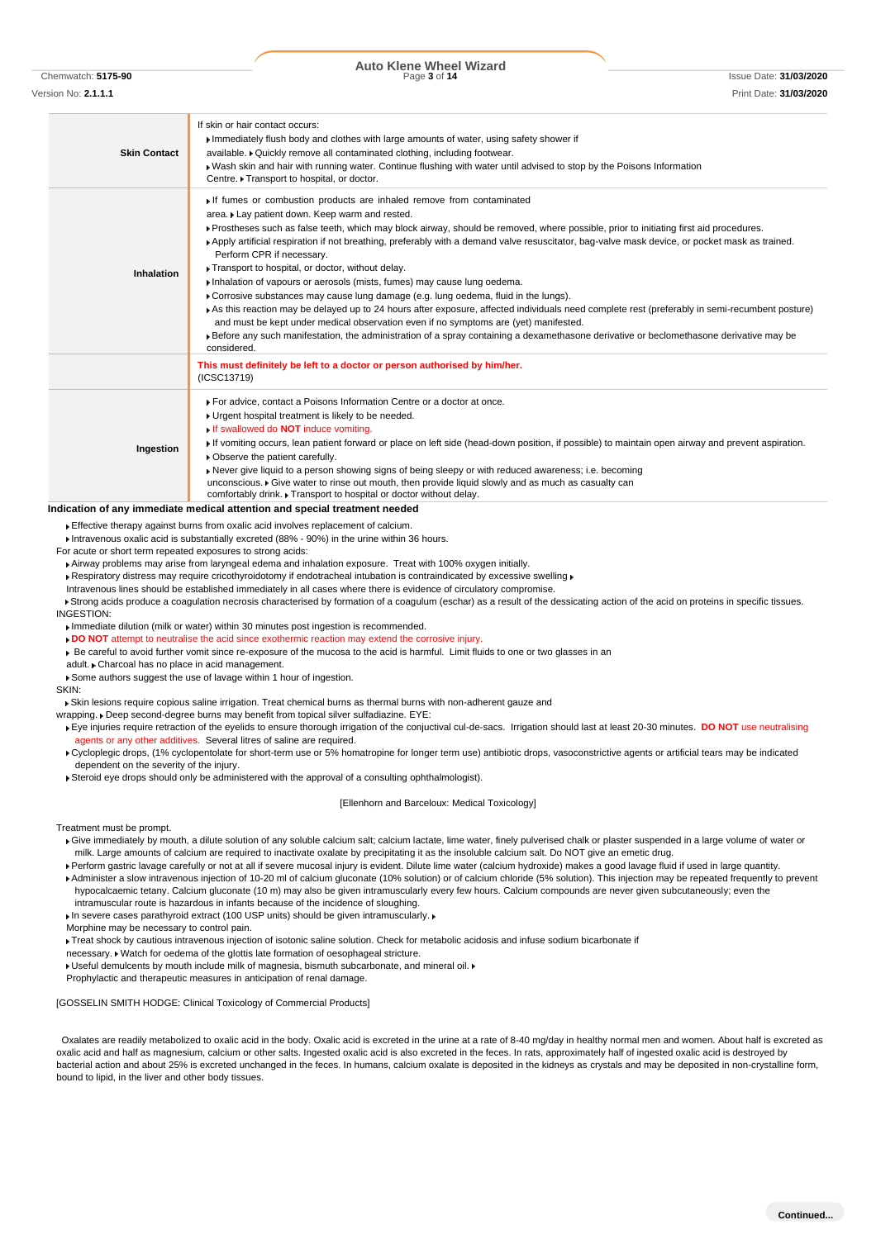**Auto Klene Wheel Wizard**<br>Page 3 of 14

Chemwatch: **5175-90** Page **3** of **14** Issue Date: **31/03/2020**

Version No: **2.1.1.1** Print Date: **31/03/2020 Skin Contact** If skin or hair contact occurs: Immediately flush body and clothes with large amounts of water, using safety shower if available. Cuickly remove all contaminated clothing, including footwear. Wash skin and hair with running water. Continue flushing with water until advised to stop by the Poisons Information Centre. Transport to hospital, or doctor. **Inhalation** If fumes or combustion products are inhaled remove from contaminated area. Lay patient down. Keep warm and rested. Prostheses such as false teeth, which may block airway, should be removed, where possible, prior to initiating first aid procedures. Apply artificial respiration if not breathing, preferably with a demand valve resuscitator, bag-valve mask device, or pocket mask as trained. Perform CPR if necessary. **Transport to hospital, or doctor, without delay.** Inhalation of vapours or aerosols (mists, fumes) may cause lung oedema. Corrosive substances may cause lung damage (e.g. lung oedema, fluid in the lungs). As this reaction may be delayed up to 24 hours after exposure, affected individuals need complete rest (preferably in semi-recumbent posture) and must be kept under medical observation even if no symptoms are (yet) manifested. Before any such manifestation, the administration of a spray containing a dexamethasone derivative or beclomethasone derivative may be considered. **This must definitely be left to a doctor or person authorised by him/her.** (ICSC13719) **Ingestion** For advice, contact a Poisons Information Centre or a doctor at once. Urgent hospital treatment is likely to be needed. ed do **NOT** induce vomiting If vomiting occurs, lean patient forward or place on left side (head-down position, if possible) to maintain open airway and prevent aspiration. **• Observe the patient carefully.** Never give liquid to a person showing signs of being sleepy or with reduced awareness; i.e. becoming unconscious. Give water to rinse out mouth, then provide liquid slowly and as much as casualty can comfortably drink. Transport to hospital or doctor without delay.

### **Indication of any immediate medical attention and special treatment needed**

Effective therapy against burns from oxalic acid involves replacement of calcium.

Intravenous oxalic acid is substantially excreted (88% - 90%) in the urine within 36 hours.

For acute or short term repeated exposures to strong acids:

Airway problems may arise from laryngeal edema and inhalation exposure. Treat with 100% oxygen initially.

KRespiratory distress may require cricothyroidotomy if endotracheal intubation is contraindicated by excessive swelling K

Intravenous lines should be established immediately in all cases where there is evidence of circulatory compromise.

Strong acids produce a coagulation necrosis characterised by formation of a coagulum (eschar) as a result of the dessicating action of the acid on proteins in specific tissues. INGESTION:

Immediate dilution (milk or water) within 30 minutes post ingestion is recommended.

**DO NOT** attempt to neutralise the acid since exothermic reaction may extend the corrosive injury.

Be careful to avoid further vomit since re-exposure of the mucosa to the acid is harmful. Limit fluids to one or two glasses in an

adult. Charcoal has no place in acid management.

Some authors suggest the use of lavage within 1 hour of ingestion.

SKIN:

Skin lesions require copious saline irrigation. Treat chemical burns as thermal burns with non-adherent gauze and

wrapping. Deep second-degree burns may benefit from topical silver sulfadiazine. EYE:

- Eye injuries require retraction of the eyelids to ensure thorough irrigation of the conjuctival cul-de-sacs. Irrigation should last at least 20-30 minutes. **DO NOT** use neutralising agents or any other additives. Several litres of saline are required.
- ▶ Cycloplegic drops, (1% cyclopentolate for short-term use or 5% homatropine for longer term use) antibiotic drops, vasoconstrictive agents or artificial tears may be indicated dependent on the severity of the injury.
- Steroid eye drops should only be administered with the approval of a consulting ophthalmologist).

[Ellenhorn and Barceloux: Medical Toxicology]

Treatment must be prompt.

- Give immediately by mouth, a dilute solution of any soluble calcium salt; calcium lactate, lime water, finely pulverised chalk or plaster suspended in a large volume of water or milk. Large amounts of calcium are required to inactivate oxalate by precipitating it as the insoluble calcium salt. Do NOT give an emetic drug.
- Perform gastric lavage carefully or not at all if severe mucosal injury is evident. Dilute lime water (calcium hydroxide) makes a good lavage fluid if used in large quantity.

Administer a slow intravenous injection of 10-20 ml of calcium gluconate (10% solution) or of calcium chloride (5% solution). This injection may be repeated frequently to prevent hypocalcaemic tetany. Calcium gluconate (10 m) may also be given intramuscularly every few hours. Calcium compounds are never given subcutaneously; even the intramuscular route is hazardous in infants because of the incidence of sloughing.

In severe cases parathyroid extract (100 USP units) should be given intramuscularly. ▶

Morphine may be necessary to control pain.

Treat shock by cautious intravenous injection of isotonic saline solution. Check for metabolic acidosis and infuse sodium bicarbonate if

- necessary. Watch for oedema of the glottis late formation of oesophageal stricture.
- Useful demulcents by mouth include milk of magnesia, bismuth subcarbonate, and mineral oil.

Prophylactic and therapeutic measures in anticipation of renal damage.

[GOSSELIN SMITH HODGE: Clinical Toxicology of Commercial Products]

Oxalates are readily metabolized to oxalic acid in the body. Oxalic acid is excreted in the urine at a rate of 8-40 mg/day in healthy normal men and women. About half is excreted as oxalic acid and half as magnesium, calcium or other salts. Ingested oxalic acid is also excreted in the feces. In rats, approximately half of ingested oxalic acid is destroyed by bacterial action and about 25% is excreted unchanged in the feces. In humans, calcium oxalate is deposited in the kidneys as crystals and may be deposited in non-crystalline form, bound to lipid, in the liver and other body tissues.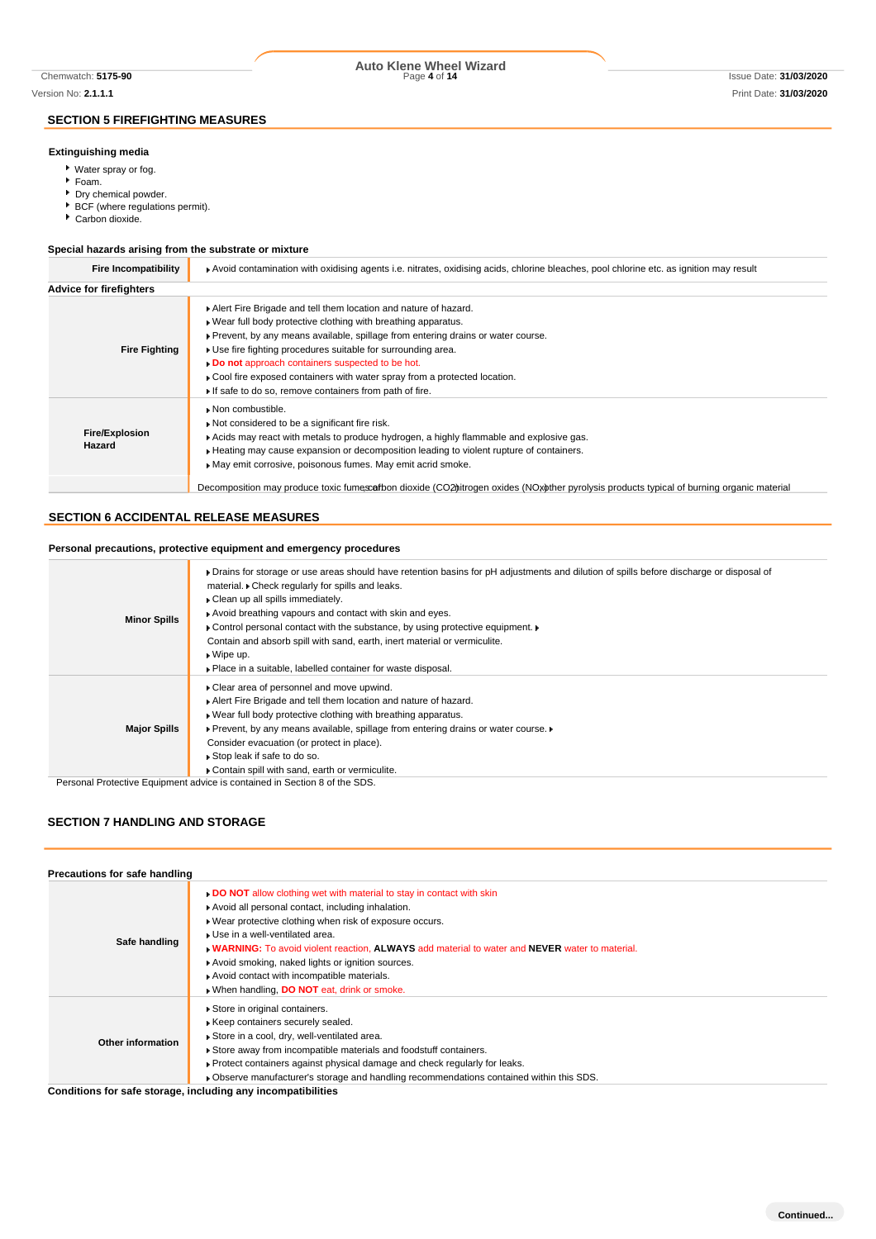## **SECTION 5 FIREFIGHTING MEASURES**

## **Extinguishing media**

- Water spray or fog.
- Foam.
- Dry chemical powder.
- BCF (where regulations permit).
- Carbon dioxide.

## **Special hazards arising from the substrate or mixture**

| <b>Fire Incompatibility</b>     | Avoid contamination with oxidising agents i.e. nitrates, oxidising acids, chlorine bleaches, pool chlorine etc. as ignition may result                                                                                                                                                                                                                                                                                                                                             |
|---------------------------------|------------------------------------------------------------------------------------------------------------------------------------------------------------------------------------------------------------------------------------------------------------------------------------------------------------------------------------------------------------------------------------------------------------------------------------------------------------------------------------|
| <b>Advice for firefighters</b>  |                                                                                                                                                                                                                                                                                                                                                                                                                                                                                    |
| <b>Fire Fighting</b>            | Alert Fire Brigade and tell them location and nature of hazard.<br>. Wear full body protective clothing with breathing apparatus.<br>▶ Prevent, by any means available, spillage from entering drains or water course.<br>• Use fire fighting procedures suitable for surrounding area.<br>Do not approach containers suspected to be hot.<br>▶ Cool fire exposed containers with water spray from a protected location.<br>If safe to do so, remove containers from path of fire. |
| <b>Fire/Explosion</b><br>Hazard | Non combustible.<br>Not considered to be a significant fire risk.<br>► Acids may react with metals to produce hydrogen, a highly flammable and explosive gas.<br>Heating may cause expansion or decomposition leading to violent rupture of containers.<br>May emit corrosive, poisonous fumes. May emit acrid smoke.                                                                                                                                                              |
|                                 | Decomposition may produce toxic fumescafbon dioxide (CO2) trogen oxides (NOx other pyrolysis products typical of burning organic material                                                                                                                                                                                                                                                                                                                                          |

# **SECTION 6 ACCIDENTAL RELEASE MEASURES**

### **Personal precautions, protective equipment and emergency procedures**

| <b>Minor Spills</b> | • Drains for storage or use areas should have retention basins for pH adjustments and dilution of spills before discharge or disposal of<br>material. Check regularly for spills and leaks.<br>Clean up all spills immediately.<br>Avoid breathing vapours and contact with skin and eyes.<br>• Control personal contact with the substance, by using protective equipment.<br>Contain and absorb spill with sand, earth, inert material or vermiculite.<br>$\bullet$ Wipe up.<br>▶ Place in a suitable, labelled container for waste disposal. |
|---------------------|-------------------------------------------------------------------------------------------------------------------------------------------------------------------------------------------------------------------------------------------------------------------------------------------------------------------------------------------------------------------------------------------------------------------------------------------------------------------------------------------------------------------------------------------------|
| <b>Major Spills</b> | • Clear area of personnel and move upwind.<br>Alert Fire Brigade and tell them location and nature of hazard.<br>▶ Wear full body protective clothing with breathing apparatus.<br>• Prevent, by any means available, spillage from entering drains or water course.<br>Consider evacuation (or protect in place).<br>▶ Stop leak if safe to do so.<br>Contain spill with sand, earth or vermiculite.                                                                                                                                           |

Personal Protective Equipment advice is contained in Section 8 of the SDS.

# **SECTION 7 HANDLING AND STORAGE**

| Precautions for safe handling |                                                                                                                                                                                                                                                                                                                                                                                                                                                                                     |
|-------------------------------|-------------------------------------------------------------------------------------------------------------------------------------------------------------------------------------------------------------------------------------------------------------------------------------------------------------------------------------------------------------------------------------------------------------------------------------------------------------------------------------|
| Safe handling                 | . DO NOT allow clothing wet with material to stay in contact with skin<br>Avoid all personal contact, including inhalation.<br>. Wear protective clothing when risk of exposure occurs.<br>▶ Use in a well-ventilated area.<br><b>NARNING:</b> To avoid violent reaction, ALWAYS add material to water and NEVER water to material.<br>Avoid smoking, naked lights or ignition sources.<br>Avoid contact with incompatible materials.<br>When handling, DO NOT eat, drink or smoke. |
| Other information             | Store in original containers.<br>Keep containers securely sealed.<br>Store in a cool, dry, well-ventilated area.<br>Store away from incompatible materials and foodstuff containers.<br>► Protect containers against physical damage and check regularly for leaks.<br>Observe manufacturer's storage and handling recommendations contained within this SDS.                                                                                                                       |

**Conditions for safe storage, including any incompatibilities**

# Chemwatch: **5175-90** Page **4** of **14** Issue Date: **31/03/2020 Auto Klene Wheel Wizard**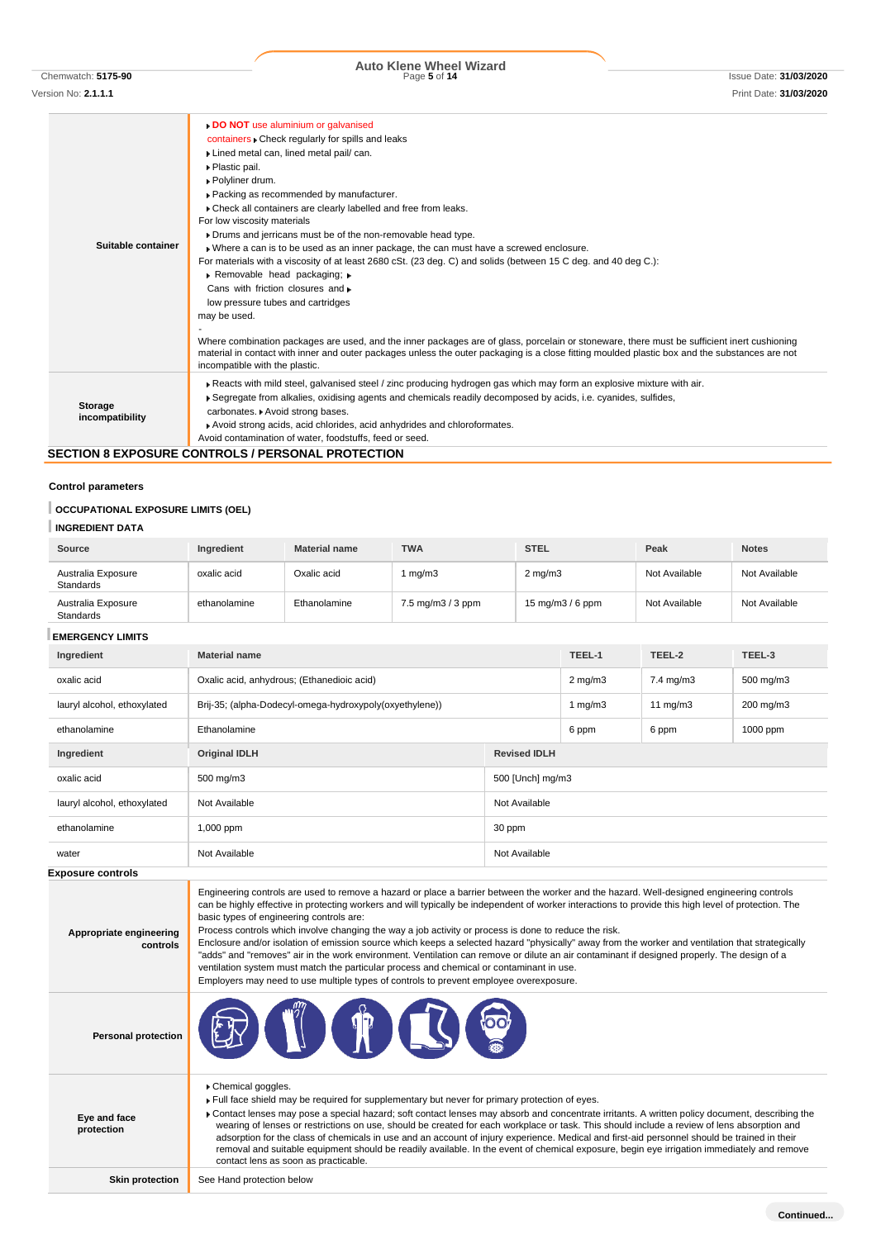Version No: **2.1.1.1** Print Date: **31/03/2020**

# **Auto Klene Wheel Wizard**<br>Page 5 of 14

### **Suitable container DO NOT** use aluminium or galvanised containers Check regularly for spills and leaks Lined metal can, lined metal pail/ can. Plastic pail. Polyliner drum. Packing as recommended by manufacturer.  $\blacktriangleright$  Check all containers are clearly labelled and free from leaks. For low viscosity materials Drums and jerricans must be of the non-removable head type. Where a can is to be used as an inner package, the can must have a screwed enclosure. For materials with a viscosity of at least 2680 cSt. (23 deg. C) and solids (between 15 C deg. and 40 deg C.): Removable head packaging; Cans with friction closures and low pressure tubes and cartridges may be used. - Where combination packages are used, and the inner packages are of glass, porcelain or stoneware, there must be sufficient inert cushioning material in contact with inner and outer packages unless the outer packaging is a close fitting moulded plastic box and the substances are not incompatible with the plastic. **Storage incompatibility** Reacts with mild steel, galvanised steel / zinc producing hydrogen gas which may form an explosive mixture with air. Segregate from alkalies, oxidising agents and chemicals readily decomposed by acids, i.e. cyanides, sulfides, carbonates. Avoid strong bases. Avoid strong acids, acid chlorides, acid anhydrides and chloroformates. Avoid contamination of water, foodstuffs, feed or seed.

# **SECTION 8 EXPOSURE CONTROLS / PERSONAL PROTECTION**

### **Control parameters**

### **OCCUPATIONAL EXPOSURE LIMITS (OEL)**

### **INGREDIENT DATA**

| Source                                 | <b>Ingredient</b> | <b>Material name</b> | <b>TWA</b>                                | <b>STEL</b>                         | Peak          | <b>Notes</b>  |
|----------------------------------------|-------------------|----------------------|-------------------------------------------|-------------------------------------|---------------|---------------|
| Australia Exposure<br><b>Standards</b> | oxalic acid       | Oxalic acid          | mq/m3                                     | $2 \text{ mg/m}$                    | Not Available | Not Available |
| Australia Exposure<br><b>Standards</b> | ethanolamine      | Ethanolamine         | $7.5 \,\mathrm{mq/m}3 / 3 \,\mathrm{ppm}$ | $15 \text{ mg/m}$ $3/6 \text{ ppm}$ | Not Available | Not Available |

### **EMERGENCY LIMITS**

**protection**

| смекаста спита<br>Ingredient        | <b>Material name</b>                                                                                                                                                                                                                                                                                                                                                                                                                                                                                                                                                                                                                                                                                                                                                                                                                                                                                                                            |                     | TEEL-1           | TEEL-2            | TEEL-3    |
|-------------------------------------|-------------------------------------------------------------------------------------------------------------------------------------------------------------------------------------------------------------------------------------------------------------------------------------------------------------------------------------------------------------------------------------------------------------------------------------------------------------------------------------------------------------------------------------------------------------------------------------------------------------------------------------------------------------------------------------------------------------------------------------------------------------------------------------------------------------------------------------------------------------------------------------------------------------------------------------------------|---------------------|------------------|-------------------|-----------|
| oxalic acid                         | Oxalic acid, anhydrous; (Ethanedioic acid)                                                                                                                                                                                                                                                                                                                                                                                                                                                                                                                                                                                                                                                                                                                                                                                                                                                                                                      |                     | $2 \text{ mg/m}$ | 7.4 mg/m3         | 500 mg/m3 |
|                                     |                                                                                                                                                                                                                                                                                                                                                                                                                                                                                                                                                                                                                                                                                                                                                                                                                                                                                                                                                 |                     |                  |                   |           |
| lauryl alcohol, ethoxylated         | Brij-35; (alpha-Dodecyl-omega-hydroxypoly(oxyethylene))                                                                                                                                                                                                                                                                                                                                                                                                                                                                                                                                                                                                                                                                                                                                                                                                                                                                                         |                     | 1 $mg/m3$        | $11 \text{ mg/m}$ | 200 mg/m3 |
| ethanolamine                        | Ethanolamine                                                                                                                                                                                                                                                                                                                                                                                                                                                                                                                                                                                                                                                                                                                                                                                                                                                                                                                                    |                     | 6 ppm            | 6 ppm             | 1000 ppm  |
| Ingredient                          | <b>Original IDLH</b>                                                                                                                                                                                                                                                                                                                                                                                                                                                                                                                                                                                                                                                                                                                                                                                                                                                                                                                            | <b>Revised IDLH</b> |                  |                   |           |
| oxalic acid                         | 500 mg/m3                                                                                                                                                                                                                                                                                                                                                                                                                                                                                                                                                                                                                                                                                                                                                                                                                                                                                                                                       | 500 [Unch] mg/m3    |                  |                   |           |
| lauryl alcohol, ethoxylated         | Not Available                                                                                                                                                                                                                                                                                                                                                                                                                                                                                                                                                                                                                                                                                                                                                                                                                                                                                                                                   | Not Available       |                  |                   |           |
| ethanolamine                        | 1,000 ppm                                                                                                                                                                                                                                                                                                                                                                                                                                                                                                                                                                                                                                                                                                                                                                                                                                                                                                                                       | 30 ppm              |                  |                   |           |
| water                               | Not Available                                                                                                                                                                                                                                                                                                                                                                                                                                                                                                                                                                                                                                                                                                                                                                                                                                                                                                                                   | Not Available       |                  |                   |           |
| <b>Exposure controls</b>            |                                                                                                                                                                                                                                                                                                                                                                                                                                                                                                                                                                                                                                                                                                                                                                                                                                                                                                                                                 |                     |                  |                   |           |
| Appropriate engineering<br>controls | Engineering controls are used to remove a hazard or place a barrier between the worker and the hazard. Well-designed engineering controls<br>can be highly effective in protecting workers and will typically be independent of worker interactions to provide this high level of protection. The<br>basic types of engineering controls are:<br>Process controls which involve changing the way a job activity or process is done to reduce the risk.<br>Enclosure and/or isolation of emission source which keeps a selected hazard "physically" away from the worker and ventilation that strategically<br>"adds" and "removes" air in the work environment. Ventilation can remove or dilute an air contaminant if designed properly. The design of a<br>ventilation system must match the particular process and chemical or contaminant in use.<br>Employers may need to use multiple types of controls to prevent employee overexposure. |                     |                  |                   |           |
| <b>Personal protection</b>          |                                                                                                                                                                                                                                                                                                                                                                                                                                                                                                                                                                                                                                                                                                                                                                                                                                                                                                                                                 |                     |                  |                   |           |
|                                     | Chemical goggles.<br>. Full face shield may be required for supplementary but never for primary protection of eyes                                                                                                                                                                                                                                                                                                                                                                                                                                                                                                                                                                                                                                                                                                                                                                                                                              |                     |                  |                   |           |

red for supplementary but never for primary protection of eyes.

**Eye and face**  Contact lenses may pose a special hazard; soft contact lenses may absorb and concentrate irritants. A written policy document, describing the wearing of lenses or restrictions on use, should be created for each workplace or task. This should include a review of lens absorption and adsorption for the class of chemicals in use and an account of injury experience. Medical and first-aid personnel should be trained in their removal and suitable equipment should be readily available. In the event of chemical exposure, begin eye irrigation immediately and remove contact lens as soon as practicable.

**Skin protection** See Hand protection below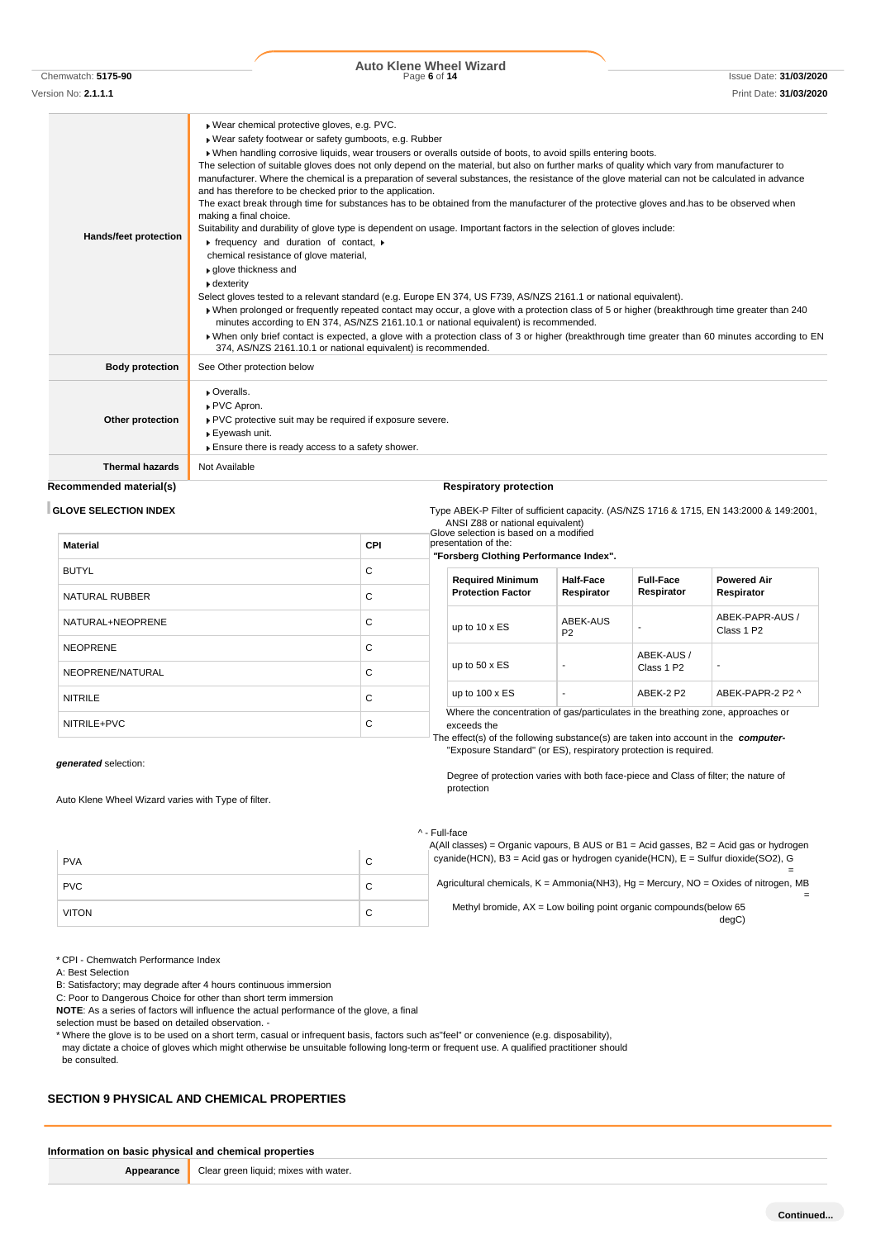Chemwatch: **5175-90** Page **6** of **14** Issue Date: **31/03/2020 Auto Klene Wheel Wizard**

Version No: **2.1.1.1** Print Date: **31/03/2020**

| Hands/feet protection  | Wear chemical protective gloves, e.g. PVC.<br>· Wear safety footwear or safety gumboots, e.g. Rubber<br>. When handling corrosive liquids, wear trousers or overalls outside of boots, to avoid spills entering boots.<br>The selection of suitable gloves does not only depend on the material, but also on further marks of quality which vary from manufacturer to<br>manufacturer. Where the chemical is a preparation of several substances, the resistance of the glove material can not be calculated in advance<br>and has therefore to be checked prior to the application.<br>The exact break through time for substances has to be obtained from the manufacturer of the protective gloves and has to be observed when<br>making a final choice.<br>Suitability and durability of glove type is dependent on usage. Important factors in the selection of gloves include:<br>$\triangleright$ frequency and duration of contact, $\triangleright$<br>chemical resistance of glove material,<br>▶ qlove thickness and<br>$\bullet$ dexterity<br>Select gloves tested to a relevant standard (e.g. Europe EN 374, US F739, AS/NZS 2161.1 or national equivalent).<br>• When prolonged or frequently repeated contact may occur, a glove with a protection class of 5 or higher (breakthrough time greater than 240<br>minutes according to EN 374, AS/NZS 2161.10.1 or national equivalent) is recommended.<br>» When only brief contact is expected, a glove with a protection class of 3 or higher (breakthrough time greater than 60 minutes according to EN<br>374, AS/NZS 2161.10.1 or national equivalent) is recommended. |
|------------------------|-------------------------------------------------------------------------------------------------------------------------------------------------------------------------------------------------------------------------------------------------------------------------------------------------------------------------------------------------------------------------------------------------------------------------------------------------------------------------------------------------------------------------------------------------------------------------------------------------------------------------------------------------------------------------------------------------------------------------------------------------------------------------------------------------------------------------------------------------------------------------------------------------------------------------------------------------------------------------------------------------------------------------------------------------------------------------------------------------------------------------------------------------------------------------------------------------------------------------------------------------------------------------------------------------------------------------------------------------------------------------------------------------------------------------------------------------------------------------------------------------------------------------------------------------------------------------------------------------------------------------------------------|
| <b>Body protection</b> | See Other protection below                                                                                                                                                                                                                                                                                                                                                                                                                                                                                                                                                                                                                                                                                                                                                                                                                                                                                                                                                                                                                                                                                                                                                                                                                                                                                                                                                                                                                                                                                                                                                                                                                |
| Other protection       | • Overalls.<br>▶ PVC Apron.<br>▶ PVC protective suit may be required if exposure severe.<br>▶ Eyewash unit.<br>Ensure there is ready access to a safety shower.                                                                                                                                                                                                                                                                                                                                                                                                                                                                                                                                                                                                                                                                                                                                                                                                                                                                                                                                                                                                                                                                                                                                                                                                                                                                                                                                                                                                                                                                           |
| <b>Thermal hazards</b> | Not Available                                                                                                                                                                                                                                                                                                                                                                                                                                                                                                                                                                                                                                                                                                                                                                                                                                                                                                                                                                                                                                                                                                                                                                                                                                                                                                                                                                                                                                                                                                                                                                                                                             |

# **Recommended material(s) Respiratory protection**

**GLOVE SELECTION INDEX** Type ABEK-P Filter of sufficient capacity. (AS/NZS 1716 & 1715, EN 143:2000 & 149:2001,

ANSI Z88 or national equivalent) Glove selection is based on a modified esentation of the:

| <b>Material</b>       | <b>CPI</b> | pre<br>"Е |
|-----------------------|------------|-----------|
| <b>BUTYL</b>          | C          |           |
| <b>NATURAL RUBBER</b> | C          |           |
| NATURAL+NEOPRENE      | C          |           |
| <b>NEOPRENE</b>       | C          |           |
| NEOPRENE/NATURAL      | C          |           |
| <b>NITRILE</b>        | C          |           |
| NITRILE+PVC           | C          | Τŀ        |

# *"***Forsberg Clothing Performance Index".**

| <b>Required Minimum</b><br><b>Protection Factor</b> | Half-Face<br>Respirator    | <b>Full-Face</b><br>Respirator       | <b>Powered Air</b><br>Respirator          |
|-----------------------------------------------------|----------------------------|--------------------------------------|-------------------------------------------|
| up to $10 \times ES$                                | ABEK-AUS<br>P <sub>2</sub> |                                      | ABEK-PAPR-AUS /<br>Class 1 P <sub>2</sub> |
| up to $50 \times ES$                                | -                          | ABEK-AUS /<br>Class 1 P <sub>2</sub> |                                           |
| up to $100 \times ES$                               | ۰                          | ARFK-2 P2                            | ARFK-PAPR-2 P2 ^                          |

Where the concentration of gas/particulates in the breathing zone, approaches or exceeds the

The effect(s) of the following substance(s) are taken into account in the *computer-* "Exposure Standard" (or ES), respiratory protection is required.

Degree of protection varies with both face-piece and Class of filter; the nature of

*generated* selection:

Auto Klene Wheel Wizard varies with Type of filter.

### ^ - Full-face

protection

|              |   | Full-idue                                                                                                                                                                        |
|--------------|---|----------------------------------------------------------------------------------------------------------------------------------------------------------------------------------|
| <b>PVA</b>   | С | $A(All classes) = Organic vapours, B AUS or B1 = Acid gases, B2 = Acid gas or hydrogen$<br>cyanide (HCN), B3 = Acid gas or hydrogen cyanide (HCN), $E =$ Sulfur dioxide (SO2), G |
| <b>PVC</b>   | С | Agricultural chemicals, $K =$ Ammonia(NH3), $Hq =$ Mercury, $NO =$ Oxides of nitrogen, MB                                                                                        |
| <b>VITON</b> | С | Methyl bromide, $AX = Low$ boiling point organic compounds (below 65<br>degC                                                                                                     |

\* CPI - Chemwatch Performance Index

A: Best Selection

B: Satisfactory; may degrade after 4 hours continuous immersion

C: Poor to Dangerous Choice for other than short term immersion

**NOTE**: As a series of factors will influence the actual performance of the glove, a final

selection must be based on detailed observation. -

\* Where the glove is to be used on a short term, casual or infrequent basis, factors such as"feel" or convenience (e.g. disposability), may dictate a choice of gloves which might otherwise be unsuitable following long-term or frequent use. A qualified practitioner should be consulted.

## **SECTION 9 PHYSICAL AND CHEMICAL PROPERTIES**

| Information on basic physical and chemical properties |                                                         |  |
|-------------------------------------------------------|---------------------------------------------------------|--|
|                                                       | <b>Appearance</b> Clear green liquid; mixes with water. |  |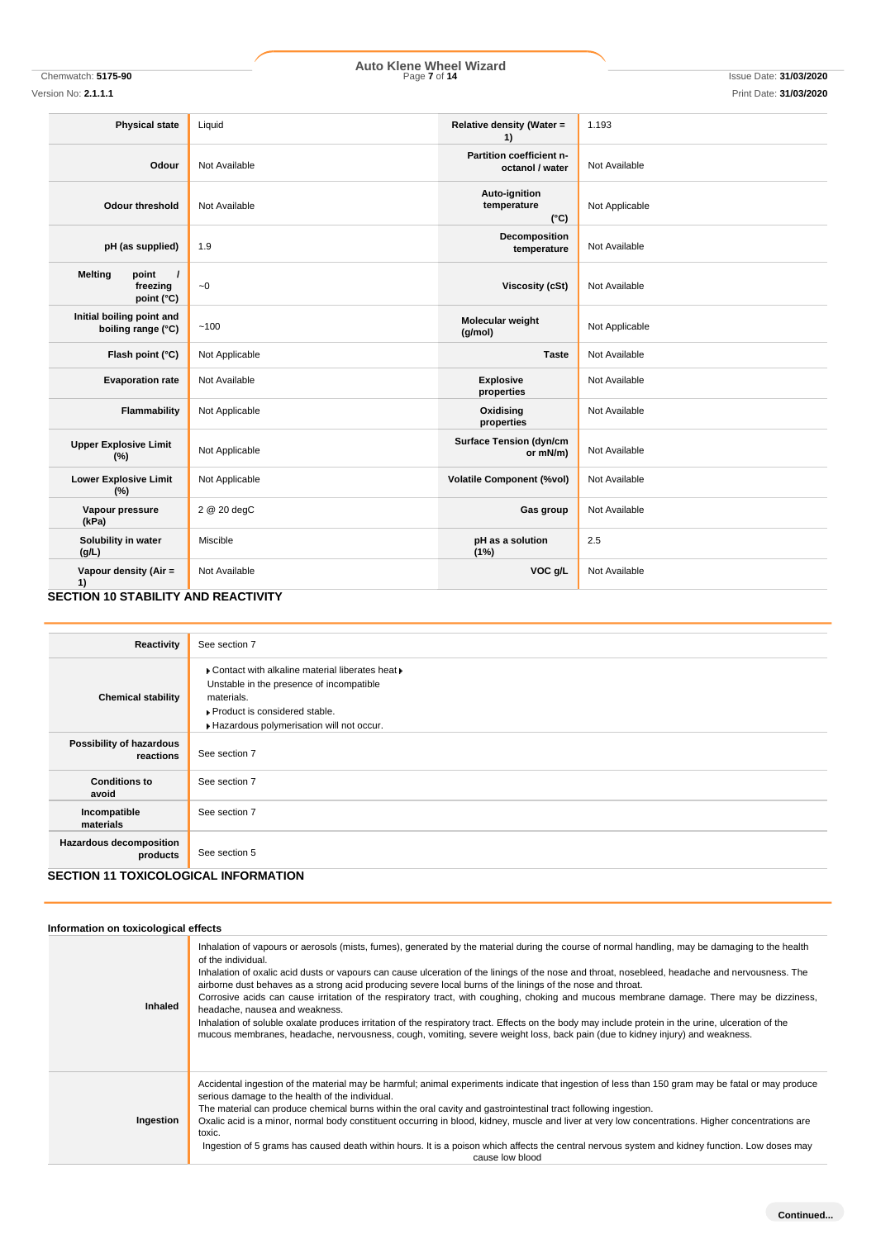# Chemwatch: **5175-90** Page **7** of **14** Issue Date: **31/03/2020 Auto Klene Wheel Wizard**

Version No: **2.1.1.1** Print Date: **31/03/2020**

| <b>Physical state</b>                                         | Liquid         | Relative density (Water =<br>1)               | 1.193          |
|---------------------------------------------------------------|----------------|-----------------------------------------------|----------------|
| Odour                                                         | Not Available  | Partition coefficient n-<br>octanol / water   | Not Available  |
| <b>Odour threshold</b>                                        | Not Available  | Auto-ignition<br>temperature<br>$(^{\circ}C)$ | Not Applicable |
| pH (as supplied)                                              | 1.9            | Decomposition<br>temperature                  | Not Available  |
| <b>Melting</b><br>point<br>$\prime$<br>freezing<br>point (°C) | ~1             | <b>Viscosity (cSt)</b>                        | Not Available  |
| Initial boiling point and<br>boiling range (°C)               | ~100           | Molecular weight<br>(g/mol)                   | Not Applicable |
| Flash point (°C)                                              | Not Applicable | <b>Taste</b>                                  | Not Available  |
| <b>Evaporation rate</b>                                       | Not Available  | <b>Explosive</b><br>properties                | Not Available  |
| Flammability                                                  | Not Applicable | Oxidising<br>properties                       | Not Available  |
| <b>Upper Explosive Limit</b><br>(%)                           | Not Applicable | <b>Surface Tension (dyn/cm</b><br>or mN/m)    | Not Available  |
| <b>Lower Explosive Limit</b><br>(%)                           | Not Applicable | <b>Volatile Component (%vol)</b>              | Not Available  |
| Vapour pressure<br>(kPa)                                      | 2 @ 20 degC    | Gas group                                     | Not Available  |
| Solubility in water<br>(g/L)                                  | Miscible       | pH as a solution<br>(1%)                      | 2.5            |
| Vapour density (Air =<br>1)                                   | Not Available  | VOC g/L                                       | Not Available  |

## **SECTION 10 STABILITY AND REACTIVITY**

| Reactivity                                  | See section 7                                                                                                                                                                              |
|---------------------------------------------|--------------------------------------------------------------------------------------------------------------------------------------------------------------------------------------------|
| <b>Chemical stability</b>                   | ▶ Contact with alkaline material liberates heat ▶<br>Unstable in the presence of incompatible<br>materials.<br>▶ Product is considered stable.<br>Hazardous polymerisation will not occur. |
| Possibility of hazardous<br>reactions       | See section 7                                                                                                                                                                              |
| <b>Conditions to</b><br>avoid               | See section 7                                                                                                                                                                              |
| Incompatible<br>materials                   | See section 7                                                                                                                                                                              |
| <b>Hazardous decomposition</b><br>products  | See section 5                                                                                                                                                                              |
| <b>SECTION 11 TOXICOLOGICAL INFORMATION</b> |                                                                                                                                                                                            |

| Information on toxicological effects |                                                                                                                                                                                                                                                                                                                                                                                                                                                                                                                                                                                                                                                                                                                                                                                                                                                                                                              |  |  |  |
|--------------------------------------|--------------------------------------------------------------------------------------------------------------------------------------------------------------------------------------------------------------------------------------------------------------------------------------------------------------------------------------------------------------------------------------------------------------------------------------------------------------------------------------------------------------------------------------------------------------------------------------------------------------------------------------------------------------------------------------------------------------------------------------------------------------------------------------------------------------------------------------------------------------------------------------------------------------|--|--|--|
| <b>Inhaled</b>                       | Inhalation of vapours or aerosols (mists, fumes), generated by the material during the course of normal handling, may be damaging to the health<br>of the individual.<br>Inhalation of oxalic acid dusts or vapours can cause ulceration of the linings of the nose and throat, nosebleed, headache and nervousness. The<br>airborne dust behaves as a strong acid producing severe local burns of the linings of the nose and throat.<br>Corrosive acids can cause irritation of the respiratory tract, with coughing, choking and mucous membrane damage. There may be dizziness,<br>headache, nausea and weakness.<br>Inhalation of soluble oxalate produces irritation of the respiratory tract. Effects on the body may include protein in the urine, ulceration of the<br>mucous membranes, headache, nervousness, cough, vomiting, severe weight loss, back pain (due to kidney injury) and weakness. |  |  |  |
| Ingestion                            | Accidental ingestion of the material may be harmful; animal experiments indicate that ingestion of less than 150 gram may be fatal or may produce<br>serious damage to the health of the individual.<br>The material can produce chemical burns within the oral cavity and gastrointestinal tract following ingestion.<br>Oxalic acid is a minor, normal body constituent occurring in blood, kidney, muscle and liver at very low concentrations. Higher concentrations are<br>toxic.<br>Ingestion of 5 grams has caused death within hours. It is a poison which affects the central nervous system and kidney function. Low doses may<br>cause low blood                                                                                                                                                                                                                                                  |  |  |  |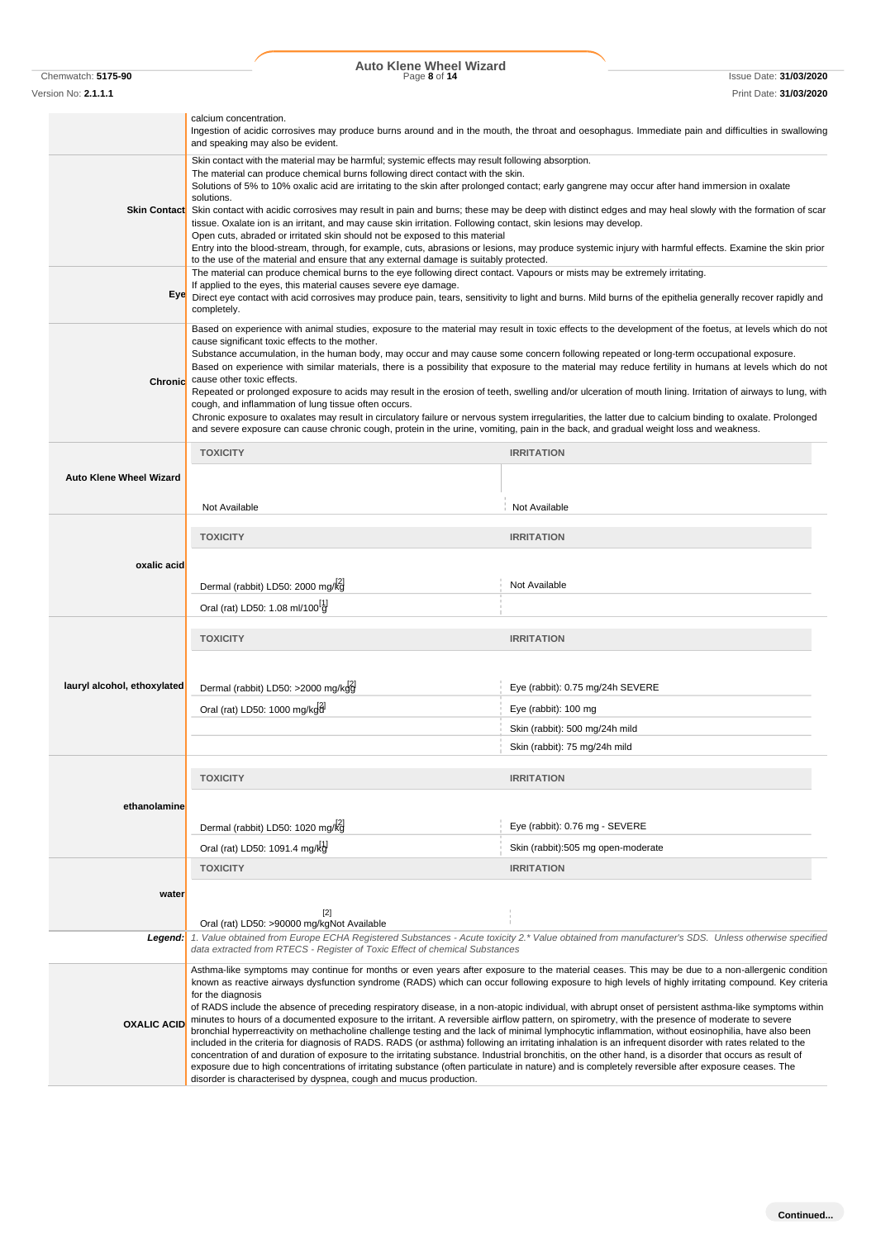# Chemwatch: **5175-90** Page **8** of **14** Issue Date: **31/03/2020 Auto Klene Wheel Wizard**

Version No: **2.1.1.1** Print Date: **31/03/2020**

|                                      | calcium concentration.                                                                                                                                                                                                                                                                                        |                                                                                                                                                                                                                                                                                                        |  |
|--------------------------------------|---------------------------------------------------------------------------------------------------------------------------------------------------------------------------------------------------------------------------------------------------------------------------------------------------------------|--------------------------------------------------------------------------------------------------------------------------------------------------------------------------------------------------------------------------------------------------------------------------------------------------------|--|
|                                      | Ingestion of acidic corrosives may produce burns around and in the mouth, the throat and oesophagus. Immediate pain and difficulties in swallowing<br>and speaking may also be evident.                                                                                                                       |                                                                                                                                                                                                                                                                                                        |  |
|                                      | Skin contact with the material may be harmful; systemic effects may result following absorption.<br>The material can produce chemical burns following direct contact with the skin.                                                                                                                           |                                                                                                                                                                                                                                                                                                        |  |
|                                      | Solutions of 5% to 10% oxalic acid are irritating to the skin after prolonged contact; early gangrene may occur after hand immersion in oxalate<br>solutions.                                                                                                                                                 |                                                                                                                                                                                                                                                                                                        |  |
| <b>Skin Contact</b>                  |                                                                                                                                                                                                                                                                                                               | Skin contact with acidic corrosives may result in pain and burns; these may be deep with distinct edges and may heal slowly with the formation of scar                                                                                                                                                 |  |
|                                      | tissue. Oxalate ion is an irritant, and may cause skin irritation. Following contact, skin lesions may develop.<br>Open cuts, abraded or irritated skin should not be exposed to this material                                                                                                                |                                                                                                                                                                                                                                                                                                        |  |
|                                      | to the use of the material and ensure that any external damage is suitably protected.                                                                                                                                                                                                                         | Entry into the blood-stream, through, for example, cuts, abrasions or lesions, may produce systemic injury with harmful effects. Examine the skin prior                                                                                                                                                |  |
|                                      | The material can produce chemical burns to the eye following direct contact. Vapours or mists may be extremely irritating.<br>If applied to the eyes, this material causes severe eye damage.                                                                                                                 |                                                                                                                                                                                                                                                                                                        |  |
| Eye                                  | completely.                                                                                                                                                                                                                                                                                                   | Direct eye contact with acid corrosives may produce pain, tears, sensitivity to light and burns. Mild burns of the epithelia generally recover rapidly and                                                                                                                                             |  |
|                                      | cause significant toxic effects to the mother.                                                                                                                                                                                                                                                                | Based on experience with animal studies, exposure to the material may result in toxic effects to the development of the foetus, at levels which do not                                                                                                                                                 |  |
|                                      | Substance accumulation, in the human body, may occur and may cause some concern following repeated or long-term occupational exposure.                                                                                                                                                                        | Based on experience with similar materials, there is a possibility that exposure to the material may reduce fertility in humans at levels which do not                                                                                                                                                 |  |
| Chronic                              | cause other toxic effects.                                                                                                                                                                                                                                                                                    |                                                                                                                                                                                                                                                                                                        |  |
|                                      | cough, and inflammation of lung tissue often occurs.                                                                                                                                                                                                                                                          | Repeated or prolonged exposure to acids may result in the erosion of teeth, swelling and/or ulceration of mouth lining. Irritation of airways to lung, with                                                                                                                                            |  |
|                                      | and severe exposure can cause chronic cough, protein in the urine, vomiting, pain in the back, and gradual weight loss and weakness.                                                                                                                                                                          | Chronic exposure to oxalates may result in circulatory failure or nervous system irregularities, the latter due to calcium binding to oxalate. Prolonged                                                                                                                                               |  |
|                                      | <b>TOXICITY</b>                                                                                                                                                                                                                                                                                               | <b>IRRITATION</b>                                                                                                                                                                                                                                                                                      |  |
| <b>Auto Klene Wheel Wizard</b>       |                                                                                                                                                                                                                                                                                                               |                                                                                                                                                                                                                                                                                                        |  |
|                                      | Not Available                                                                                                                                                                                                                                                                                                 | Not Available                                                                                                                                                                                                                                                                                          |  |
| <b>TOXICITY</b><br><b>IRRITATION</b> |                                                                                                                                                                                                                                                                                                               |                                                                                                                                                                                                                                                                                                        |  |
| oxalic acid                          |                                                                                                                                                                                                                                                                                                               |                                                                                                                                                                                                                                                                                                        |  |
|                                      | Dermal (rabbit) LD50: 2000 mg/kg                                                                                                                                                                                                                                                                              | Not Available                                                                                                                                                                                                                                                                                          |  |
|                                      | Oral (rat) LD50: 1.08 ml/100 <sup>[1</sup> ]                                                                                                                                                                                                                                                                  |                                                                                                                                                                                                                                                                                                        |  |
|                                      | <b>TOXICITY</b>                                                                                                                                                                                                                                                                                               | <b>IRRITATION</b>                                                                                                                                                                                                                                                                                      |  |
|                                      |                                                                                                                                                                                                                                                                                                               |                                                                                                                                                                                                                                                                                                        |  |
| lauryl alcohol, ethoxylated          | Dermal (rabbit) LD50: >2000 mg/kdd                                                                                                                                                                                                                                                                            | Eye (rabbit): 0.75 mg/24h SEVERE                                                                                                                                                                                                                                                                       |  |
|                                      | Oral (rat) LD50: 1000 mg/kgd                                                                                                                                                                                                                                                                                  | Eye (rabbit): 100 mg                                                                                                                                                                                                                                                                                   |  |
|                                      |                                                                                                                                                                                                                                                                                                               | Skin (rabbit): 500 mg/24h mild                                                                                                                                                                                                                                                                         |  |
|                                      |                                                                                                                                                                                                                                                                                                               | Skin (rabbit): 75 mg/24h mild                                                                                                                                                                                                                                                                          |  |
|                                      | <b>TOXICITY</b>                                                                                                                                                                                                                                                                                               | <b>IRRITATION</b>                                                                                                                                                                                                                                                                                      |  |
|                                      |                                                                                                                                                                                                                                                                                                               |                                                                                                                                                                                                                                                                                                        |  |
| ethanolamine                         |                                                                                                                                                                                                                                                                                                               |                                                                                                                                                                                                                                                                                                        |  |
|                                      | Dermal (rabbit) LD50: 1020 mg/kg                                                                                                                                                                                                                                                                              | Eye (rabbit): 0.76 mg - SEVERE                                                                                                                                                                                                                                                                         |  |
|                                      | Oral (rat) LD50: 1091.4 mg/kd<br><b>TOXICITY</b>                                                                                                                                                                                                                                                              | Skin (rabbit):505 mg open-moderate<br><b>IRRITATION</b>                                                                                                                                                                                                                                                |  |
|                                      |                                                                                                                                                                                                                                                                                                               |                                                                                                                                                                                                                                                                                                        |  |
| water                                |                                                                                                                                                                                                                                                                                                               |                                                                                                                                                                                                                                                                                                        |  |
|                                      | $[2]$<br>Oral (rat) LD50: >90000 mg/kgNot Available                                                                                                                                                                                                                                                           |                                                                                                                                                                                                                                                                                                        |  |
| Legend:                              | data extracted from RTECS - Register of Toxic Effect of chemical Substances                                                                                                                                                                                                                                   | 1. Value obtained from Europe ECHA Registered Substances - Acute toxicity 2.* Value obtained from manufacturer's SDS. Unless otherwise specified                                                                                                                                                       |  |
|                                      |                                                                                                                                                                                                                                                                                                               | Asthma-like symptoms may continue for months or even years after exposure to the material ceases. This may be due to a non-allergenic condition<br>known as reactive airways dysfunction syndrome (RADS) which can occur following exposure to high levels of highly irritating compound. Key criteria |  |
|                                      | for the diagnosis                                                                                                                                                                                                                                                                                             |                                                                                                                                                                                                                                                                                                        |  |
| <b>OXALIC ACID</b>                   | minutes to hours of a documented exposure to the irritant. A reversible airflow pattern, on spirometry, with the presence of moderate to severe                                                                                                                                                               | of RADS include the absence of preceding respiratory disease, in a non-atopic individual, with abrupt onset of persistent asthma-like symptoms within                                                                                                                                                  |  |
|                                      | bronchial hyperreactivity on methacholine challenge testing and the lack of minimal lymphocytic inflammation, without eosinophilia, have also been<br>included in the criteria for diagnosis of RADS. RADS (or asthma) following an irritating inhalation is an infrequent disorder with rates related to the |                                                                                                                                                                                                                                                                                                        |  |
|                                      | concentration of and duration of exposure to the irritating substance. Industrial bronchitis, on the other hand, is a disorder that occurs as result of<br>exposure due to high concentrations of irritating substance (often particulate in nature) and is completely reversible after exposure ceases. The  |                                                                                                                                                                                                                                                                                                        |  |
|                                      | disorder is characterised by dyspnea, cough and mucus production.                                                                                                                                                                                                                                             |                                                                                                                                                                                                                                                                                                        |  |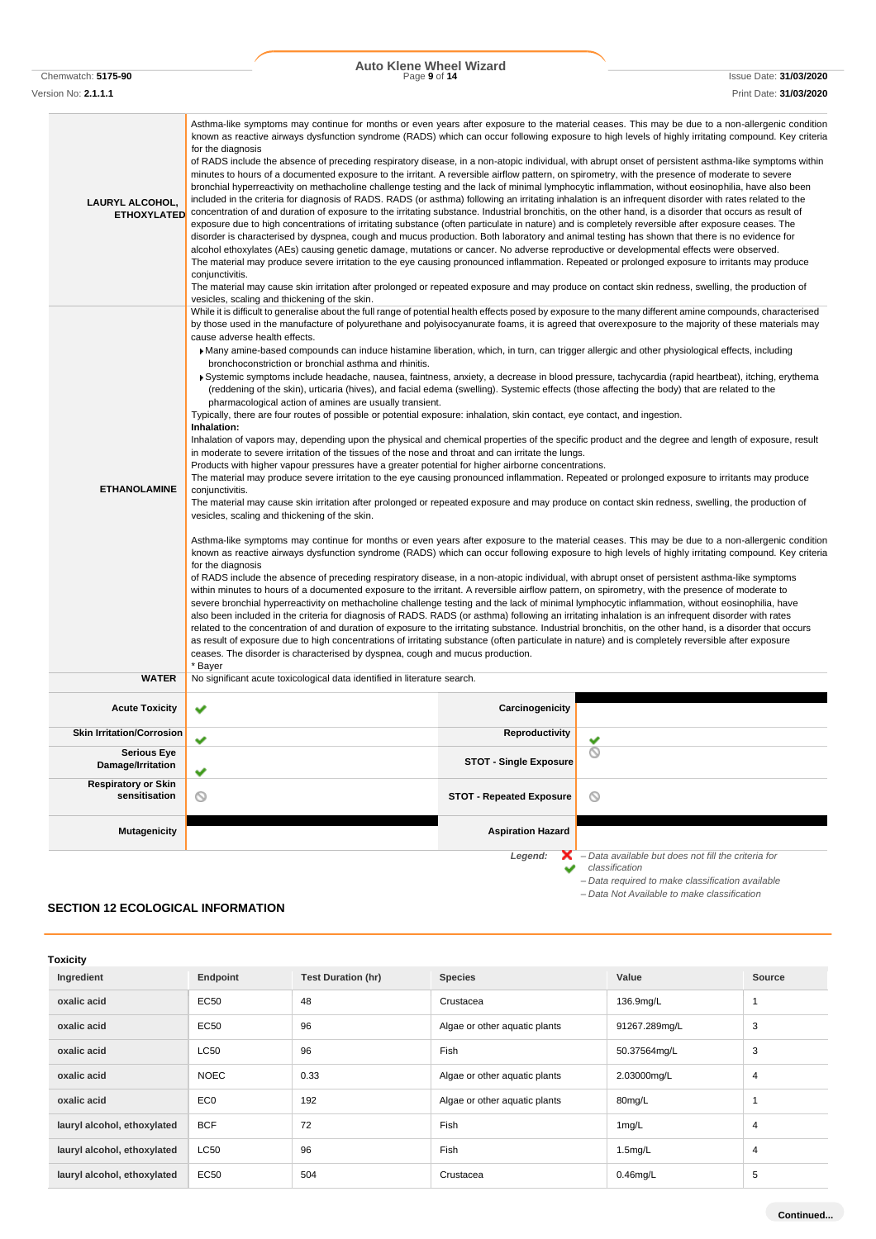# Chemwatch: **5175-90** Page **9** of **14** Issue Date: **31/03/2020 Auto Klene Wheel Wizard** Version No: **2.1.1.1** Print Date: **31/03/2020**

| LAURYL ALCOHOL,<br><b>ETHOXYLATED</b>       | Asthma-like symptoms may continue for months or even years after exposure to the material ceases. This may be due to a non-allergenic condition<br>known as reactive airways dysfunction syndrome (RADS) which can occur following exposure to high levels of highly irritating compound. Key criteria<br>for the diagnosis<br>of RADS include the absence of preceding respiratory disease, in a non-atopic individual, with abrupt onset of persistent asthma-like symptoms within<br>minutes to hours of a documented exposure to the irritant. A reversible airflow pattern, on spirometry, with the presence of moderate to severe<br>bronchial hyperreactivity on methacholine challenge testing and the lack of minimal lymphocytic inflammation, without eosinophilia, have also been<br>included in the criteria for diagnosis of RADS. RADS (or asthma) following an irritating inhalation is an infrequent disorder with rates related to the<br>concentration of and duration of exposure to the irritating substance. Industrial bronchitis, on the other hand, is a disorder that occurs as result of<br>exposure due to high concentrations of irritating substance (often particulate in nature) and is completely reversible after exposure ceases. The<br>disorder is characterised by dyspnea, cough and mucus production. Both laboratory and animal testing has shown that there is no evidence for<br>alcohol ethoxylates (AEs) causing genetic damage, mutations or cancer. No adverse reproductive or developmental effects were observed.<br>The material may produce severe irritation to the eye causing pronounced inflammation. Repeated or prolonged exposure to irritants may produce<br>conjunctivitis.<br>The material may cause skin irritation after prolonged or repeated exposure and may produce on contact skin redness, swelling, the production of<br>vesicles, scaling and thickening of the skin.                                                                                                                                                                                                                                                                                                                                                                                                                                                                                                                                                                                                                                                                                                                                                                                                                                                                                                                                                                                                                                                                                                                                       |                 |                                                                       |  |
|---------------------------------------------|------------------------------------------------------------------------------------------------------------------------------------------------------------------------------------------------------------------------------------------------------------------------------------------------------------------------------------------------------------------------------------------------------------------------------------------------------------------------------------------------------------------------------------------------------------------------------------------------------------------------------------------------------------------------------------------------------------------------------------------------------------------------------------------------------------------------------------------------------------------------------------------------------------------------------------------------------------------------------------------------------------------------------------------------------------------------------------------------------------------------------------------------------------------------------------------------------------------------------------------------------------------------------------------------------------------------------------------------------------------------------------------------------------------------------------------------------------------------------------------------------------------------------------------------------------------------------------------------------------------------------------------------------------------------------------------------------------------------------------------------------------------------------------------------------------------------------------------------------------------------------------------------------------------------------------------------------------------------------------------------------------------------------------------------------------------------------------------------------------------------------------------------------------------------------------------------------------------------------------------------------------------------------------------------------------------------------------------------------------------------------------------------------------------------------------------------------------------------------------------------------------------------------------------------------------------------------------------------------------------------------------------------------------------------------------------------------------------------------------------------------------------------------------------------------------------------------------------------------------------------------------------------------------------------------------------------------------------------------------------------------------------------------------------------------------------------------------|-----------------|-----------------------------------------------------------------------|--|
| <b>ETHANOLAMINE</b>                         | While it is difficult to generalise about the full range of potential health effects posed by exposure to the many different amine compounds, characterised<br>by those used in the manufacture of polyurethane and polyisocyanurate foams, it is agreed that overexposure to the majority of these materials may<br>cause adverse health effects.<br>Many amine-based compounds can induce histamine liberation, which, in turn, can trigger allergic and other physiological effects, including<br>bronchoconstriction or bronchial asthma and rhinitis.<br>▶ Systemic symptoms include headache, nausea, faintness, anxiety, a decrease in blood pressure, tachycardia (rapid heartbeat), itching, erythema<br>(reddening of the skin), urticaria (hives), and facial edema (swelling). Systemic effects (those affecting the body) that are related to the<br>pharmacological action of amines are usually transient.<br>Typically, there are four routes of possible or potential exposure: inhalation, skin contact, eye contact, and ingestion.<br>Inhalation:<br>Inhalation of vapors may, depending upon the physical and chemical properties of the specific product and the degree and length of exposure, result<br>in moderate to severe irritation of the tissues of the nose and throat and can irritate the lungs.<br>Products with higher vapour pressures have a greater potential for higher airborne concentrations.<br>The material may produce severe irritation to the eye causing pronounced inflammation. Repeated or prolonged exposure to irritants may produce<br>conjunctivitis.<br>The material may cause skin irritation after prolonged or repeated exposure and may produce on contact skin redness, swelling, the production of<br>vesicles, scaling and thickening of the skin.<br>Asthma-like symptoms may continue for months or even years after exposure to the material ceases. This may be due to a non-allergenic condition<br>known as reactive airways dysfunction syndrome (RADS) which can occur following exposure to high levels of highly irritating compound. Key criteria<br>for the diagnosis<br>of RADS include the absence of preceding respiratory disease, in a non-atopic individual, with abrupt onset of persistent asthma-like symptoms<br>within minutes to hours of a documented exposure to the irritant. A reversible airflow pattern, on spirometry, with the presence of moderate to<br>severe bronchial hyperreactivity on methacholine challenge testing and the lack of minimal lymphocytic inflammation, without eosinophilia, have<br>also been included in the criteria for diagnosis of RADS. RADS (or asthma) following an irritating inhalation is an infrequent disorder with rates<br>related to the concentration of and duration of exposure to the irritating substance. Industrial bronchitis, on the other hand, is a disorder that occurs<br>as result of exposure due to high concentrations of irritating substance (often particulate in nature) and is completely reversible after exposure |                 |                                                                       |  |
| <b>WATER</b>                                | * Bayer<br>No significant acute toxicological data identified in literature search.                                                                                                                                                                                                                                                                                                                                                                                                                                                                                                                                                                                                                                                                                                                                                                                                                                                                                                                                                                                                                                                                                                                                                                                                                                                                                                                                                                                                                                                                                                                                                                                                                                                                                                                                                                                                                                                                                                                                                                                                                                                                                                                                                                                                                                                                                                                                                                                                                                                                                                                                                                                                                                                                                                                                                                                                                                                                                                                                                                                                |                 |                                                                       |  |
| <b>Acute Toxicity</b>                       | ✔                                                                                                                                                                                                                                                                                                                                                                                                                                                                                                                                                                                                                                                                                                                                                                                                                                                                                                                                                                                                                                                                                                                                                                                                                                                                                                                                                                                                                                                                                                                                                                                                                                                                                                                                                                                                                                                                                                                                                                                                                                                                                                                                                                                                                                                                                                                                                                                                                                                                                                                                                                                                                                                                                                                                                                                                                                                                                                                                                                                                                                                                                  | Carcinogenicity |                                                                       |  |
| <b>Skin Irritation/Corrosion</b>            |                                                                                                                                                                                                                                                                                                                                                                                                                                                                                                                                                                                                                                                                                                                                                                                                                                                                                                                                                                                                                                                                                                                                                                                                                                                                                                                                                                                                                                                                                                                                                                                                                                                                                                                                                                                                                                                                                                                                                                                                                                                                                                                                                                                                                                                                                                                                                                                                                                                                                                                                                                                                                                                                                                                                                                                                                                                                                                                                                                                                                                                                                    | Reproductivity  |                                                                       |  |
| <b>Serious Eye</b><br>Damage/Irritation     | ⊚<br><b>STOT - Single Exposure</b><br>✔                                                                                                                                                                                                                                                                                                                                                                                                                                                                                                                                                                                                                                                                                                                                                                                                                                                                                                                                                                                                                                                                                                                                                                                                                                                                                                                                                                                                                                                                                                                                                                                                                                                                                                                                                                                                                                                                                                                                                                                                                                                                                                                                                                                                                                                                                                                                                                                                                                                                                                                                                                                                                                                                                                                                                                                                                                                                                                                                                                                                                                            |                 |                                                                       |  |
| <b>Respiratory or Skin</b><br>sensitisation | ◎<br><b>STOT - Repeated Exposure</b><br>◎                                                                                                                                                                                                                                                                                                                                                                                                                                                                                                                                                                                                                                                                                                                                                                                                                                                                                                                                                                                                                                                                                                                                                                                                                                                                                                                                                                                                                                                                                                                                                                                                                                                                                                                                                                                                                                                                                                                                                                                                                                                                                                                                                                                                                                                                                                                                                                                                                                                                                                                                                                                                                                                                                                                                                                                                                                                                                                                                                                                                                                          |                 |                                                                       |  |
| <b>Mutagenicity</b>                         | <b>Aspiration Hazard</b>                                                                                                                                                                                                                                                                                                                                                                                                                                                                                                                                                                                                                                                                                                                                                                                                                                                                                                                                                                                                                                                                                                                                                                                                                                                                                                                                                                                                                                                                                                                                                                                                                                                                                                                                                                                                                                                                                                                                                                                                                                                                                                                                                                                                                                                                                                                                                                                                                                                                                                                                                                                                                                                                                                                                                                                                                                                                                                                                                                                                                                                           |                 |                                                                       |  |
|                                             |                                                                                                                                                                                                                                                                                                                                                                                                                                                                                                                                                                                                                                                                                                                                                                                                                                                                                                                                                                                                                                                                                                                                                                                                                                                                                                                                                                                                                                                                                                                                                                                                                                                                                                                                                                                                                                                                                                                                                                                                                                                                                                                                                                                                                                                                                                                                                                                                                                                                                                                                                                                                                                                                                                                                                                                                                                                                                                                                                                                                                                                                                    | Legend:         | - Data available but does not fill the criteria for<br>classification |  |

**SECTION 12 ECOLOGICAL INFORMATION**

| <b>Toxicity</b>             |                 |                           |                               |               |        |
|-----------------------------|-----------------|---------------------------|-------------------------------|---------------|--------|
| Ingredient                  | Endpoint        | <b>Test Duration (hr)</b> | <b>Species</b>                | Value         | Source |
| oxalic acid                 | EC50            | 48                        | Crustacea                     | 136.9mg/L     |        |
| oxalic acid                 | EC50            | 96                        | Algae or other aquatic plants | 91267.289mg/L | 3      |
| oxalic acid                 | <b>LC50</b>     | 96                        | <b>Fish</b>                   | 50.37564mg/L  | 3      |
| oxalic acid                 | <b>NOEC</b>     | 0.33                      | Algae or other aquatic plants | 2.03000mg/L   | 4      |
| oxalic acid                 | EC <sub>0</sub> | 192                       | Algae or other aquatic plants | 80mg/L        |        |
| lauryl alcohol, ethoxylated | <b>BCF</b>      | 72                        | Fish                          | $1$ mg/L      | 4      |
| lauryl alcohol, ethoxylated | <b>LC50</b>     | 96                        | Fish                          | $1.5$ mg/L    | 4      |
| lauryl alcohol, ethoxylated | <b>EC50</b>     | 504                       | Crustacea                     | $0.46$ mg/L   | 5      |

*– Data required to make classification available – Data Not Available to make classification*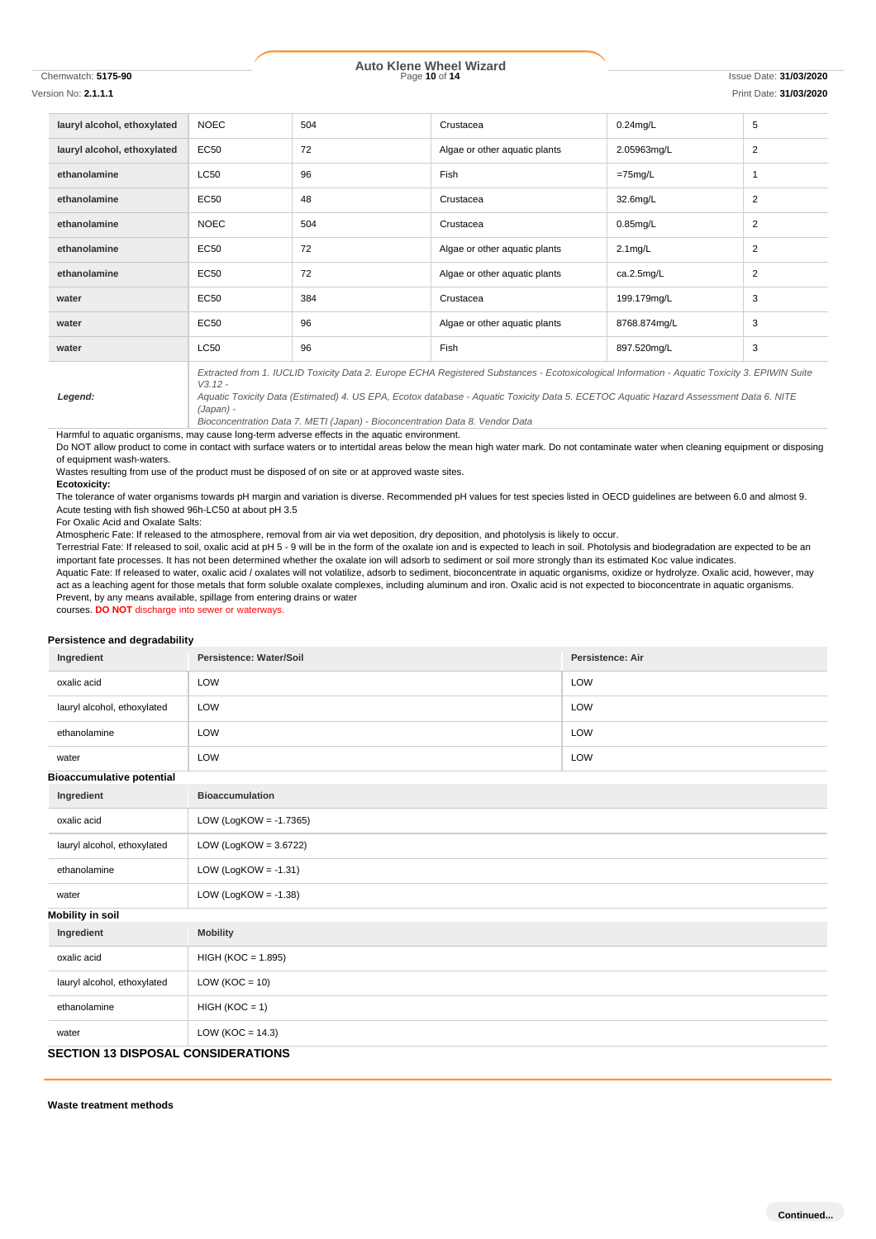# Chemwatch: **5175-90** Page **10** of **14** Issue Date: **31/03/2020 Auto Klene Wheel Wizard**

| Version No: 2.1.1.1         |             |     |                                                                                                                                                                                                                                                                                        |                      | Print Date: 31/03/2020 |
|-----------------------------|-------------|-----|----------------------------------------------------------------------------------------------------------------------------------------------------------------------------------------------------------------------------------------------------------------------------------------|----------------------|------------------------|
| lauryl alcohol, ethoxylated | <b>NOEC</b> | 504 | Crustacea                                                                                                                                                                                                                                                                              | $0.24$ mg/L          | 5                      |
| lauryl alcohol, ethoxylated | <b>EC50</b> | 72  | Algae or other aquatic plants                                                                                                                                                                                                                                                          | 2.05963mg/L          | $\overline{2}$         |
| ethanolamine                | <b>LC50</b> | 96  | Fish                                                                                                                                                                                                                                                                                   | $=75$ mg/L           | -1                     |
| ethanolamine                | EC50        | 48  | Crustacea                                                                                                                                                                                                                                                                              | 32.6 <sub>mq/L</sub> | $\overline{2}$         |
| ethanolamine                | <b>NOEC</b> | 504 | Crustacea                                                                                                                                                                                                                                                                              | $0.85$ mg/L          | $\overline{2}$         |
| ethanolamine                | EC50        | 72  | Algae or other aquatic plants                                                                                                                                                                                                                                                          | $2.1 \text{mg/L}$    | $\overline{2}$         |
| ethanolamine                | EC50        | 72  | Algae or other aquatic plants                                                                                                                                                                                                                                                          | ca.2.5mg/L           | 2                      |
| water                       | EC50        | 384 | Crustacea                                                                                                                                                                                                                                                                              | 199.179mg/L          | 3                      |
| water                       | EC50        | 96  | Algae or other aquatic plants                                                                                                                                                                                                                                                          | 8768.874mg/L         | 3                      |
| water                       | <b>LC50</b> | 96  | Fish                                                                                                                                                                                                                                                                                   | 897.520mg/L          | 3                      |
| Legend:                     | $V3.12 -$   |     | Extracted from 1. IUCLID Toxicity Data 2. Europe ECHA Registered Substances - Ecotoxicological Information - Aquatic Toxicity 3. EPIWIN Suite<br>Aquatic Toxicity Data (Estimated) 4. US EPA, Ecotox database - Aquatic Toxicity Data 5. ECETOC Aquatic Hazard Assessment Data 6. NITE |                      |                        |

*Bioconcentration Data 7. METI (Japan) - Bioconcentration Data 8. Vendor Data* Harmful to aquatic organisms, may cause long-term adverse effects in the aquatic environment.

Do NOT allow product to come in contact with surface waters or to intertidal areas below the mean high water mark. Do not contaminate water when cleaning equipment or disposing of equipment wash-waters.

Wastes resulting from use of the product must be disposed of on site or at approved waste sites.

*(Japan) -*

**Ecotoxicity:**

The tolerance of water organisms towards pH margin and variation is diverse. Recommended pH values for test species listed in OECD guidelines are between 6.0 and almost 9. Acute testing with fish showed 96h-LC50 at about pH 3.5

For Oxalic Acid and Oxalate Salts:

Atmospheric Fate: If released to the atmosphere, removal from air via wet deposition, dry deposition, and photolysis is likely to occur.

Terrestrial Fate: If released to soil, oxalic acid at pH 5 - 9 will be in the form of the oxalate ion and is expected to leach in soil. Photolysis and biodegradation are expected to be an important fate processes. It has not been determined whether the oxalate ion will adsorb to sediment or soil more strongly than its estimated Koc value indicates.

Aquatic Fate: If released to water, oxalic acid / oxalates will not volatilize, adsorb to sediment, bioconcentrate in aquatic organisms, oxidize or hydrolyze. Oxalic acid, however, may act as a leaching agent for those metals that form soluble oxalate complexes, including aluminum and iron. Oxalic acid is not expected to bioconcentrate in aquatic organisms. Prevent, by any means available, spillage from entering drains or water

courses. **DO NOT** discharge into sewer or waterways.

### **Persistence and degradability**

| Ingredient                       | Persistence: Water/Soil                   | Persistence: Air |  |  |  |
|----------------------------------|-------------------------------------------|------------------|--|--|--|
| oxalic acid                      | LOW                                       | LOW              |  |  |  |
| lauryl alcohol, ethoxylated      | LOW                                       | LOW              |  |  |  |
| ethanolamine                     | LOW                                       | LOW              |  |  |  |
| water                            | LOW                                       | LOW              |  |  |  |
| <b>Bioaccumulative potential</b> |                                           |                  |  |  |  |
| Ingredient                       | <b>Bioaccumulation</b>                    |                  |  |  |  |
| oxalic acid                      | LOW (LogKOW = $-1.7365$ )                 |                  |  |  |  |
| lauryl alcohol, ethoxylated      | LOW (LogKOW = $3.6722$ )                  |                  |  |  |  |
| ethanolamine                     | LOW (LogKOW = $-1.31$ )                   |                  |  |  |  |
| water                            | LOW (LogKOW = $-1.38$ )                   |                  |  |  |  |
| <b>Mobility in soil</b>          |                                           |                  |  |  |  |
| Ingredient                       | <b>Mobility</b>                           |                  |  |  |  |
| oxalic acid                      | HIGH (KOC = 1.895)                        |                  |  |  |  |
| lauryl alcohol, ethoxylated      | LOW ( $KOC = 10$ )                        |                  |  |  |  |
| ethanolamine                     | $HIGH (KOC = 1)$                          |                  |  |  |  |
| water                            | LOW ( $KOC = 14.3$ )                      |                  |  |  |  |
|                                  | <b>SECTION 13 DISPOSAL CONSIDERATIONS</b> |                  |  |  |  |

**Waste treatment methods**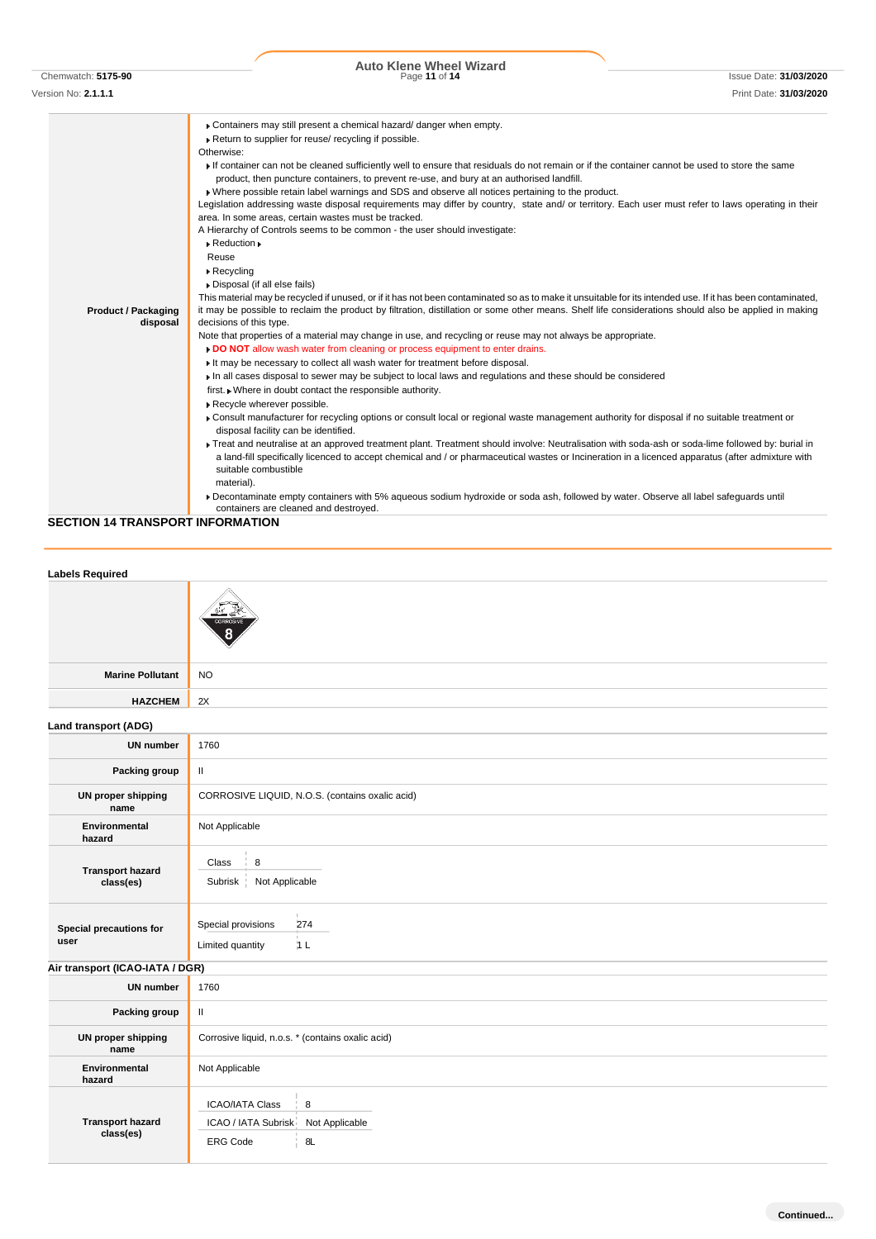# Chemwatch: **5175-90** Page **11** of **14** Issue Date: **31/03/2020 Auto Klene Wheel Wizard**

| Version No: 2.1.1.1                    | Print Date: 31/03/2020                                                                                                                                                                                                                                                                                                                                                                                                                                                                                                                                                                                                                                                                                                                                                                                                                                                                                                                                                                                                                                                                                                                                                                                                                                                                                                                                                                                                                                                                                                                                                                                                                                                                                                                                                                                                                                                                                                                                                                                                                                                                                                                                                                                                                                                                                                                                                                                                                                                       |
|----------------------------------------|------------------------------------------------------------------------------------------------------------------------------------------------------------------------------------------------------------------------------------------------------------------------------------------------------------------------------------------------------------------------------------------------------------------------------------------------------------------------------------------------------------------------------------------------------------------------------------------------------------------------------------------------------------------------------------------------------------------------------------------------------------------------------------------------------------------------------------------------------------------------------------------------------------------------------------------------------------------------------------------------------------------------------------------------------------------------------------------------------------------------------------------------------------------------------------------------------------------------------------------------------------------------------------------------------------------------------------------------------------------------------------------------------------------------------------------------------------------------------------------------------------------------------------------------------------------------------------------------------------------------------------------------------------------------------------------------------------------------------------------------------------------------------------------------------------------------------------------------------------------------------------------------------------------------------------------------------------------------------------------------------------------------------------------------------------------------------------------------------------------------------------------------------------------------------------------------------------------------------------------------------------------------------------------------------------------------------------------------------------------------------------------------------------------------------------------------------------------------------|
| <b>Product / Packaging</b><br>disposal | Containers may still present a chemical hazard/ danger when empty.<br>Return to supplier for reuse/ recycling if possible.<br>Otherwise:<br>If container can not be cleaned sufficiently well to ensure that residuals do not remain or if the container cannot be used to store the same<br>product, then puncture containers, to prevent re-use, and bury at an authorised landfill.<br>» Where possible retain label warnings and SDS and observe all notices pertaining to the product.<br>Legislation addressing waste disposal requirements may differ by country, state and/ or territory. Each user must refer to laws operating in their<br>area. In some areas, certain wastes must be tracked.<br>A Hierarchy of Controls seems to be common - the user should investigate:<br>$\triangleright$ Reduction $\triangleright$<br>Reuse<br>$\triangleright$ Recycling<br>Disposal (if all else fails)<br>This material may be recycled if unused, or if it has not been contaminated so as to make it unsuitable for its intended use. If it has been contaminated,<br>it may be possible to reclaim the product by filtration, distillation or some other means. Shelf life considerations should also be applied in making<br>decisions of this type.<br>Note that properties of a material may change in use, and recycling or reuse may not always be appropriate.<br>. DO NOT allow wash water from cleaning or process equipment to enter drains.<br>It may be necessary to collect all wash water for treatment before disposal.<br>In all cases disposal to sewer may be subject to local laws and regulations and these should be considered<br>first. • Where in doubt contact the responsible authority.<br>Recycle wherever possible.<br>Consult manufacturer for recycling options or consult local or regional waste management authority for disposal if no suitable treatment or<br>disposal facility can be identified.<br>Freat and neutralise at an approved treatment plant. Treatment should involve: Neutralisation with soda-ash or soda-lime followed by: burial in<br>a land-fill specifically licenced to accept chemical and / or pharmaceutical wastes or Incineration in a licenced apparatus (after admixture with<br>suitable combustible<br>material).<br>Decontaminate empty containers with 5% aqueous sodium hydroxide or soda ash, followed by water. Observe all label safequards until<br>containers are cleaned and destroyed. |

**SECTION 14 TRANSPORT INFORMATION**

| <b>Labels Required</b>               |                                                                                               |  |
|--------------------------------------|-----------------------------------------------------------------------------------------------|--|
|                                      |                                                                                               |  |
| <b>Marine Pollutant</b>              | <b>NO</b>                                                                                     |  |
| <b>HAZCHEM</b>                       | 2X                                                                                            |  |
| Land transport (ADG)                 |                                                                                               |  |
| <b>UN number</b>                     | 1760                                                                                          |  |
| Packing group                        | $\,$ II                                                                                       |  |
| <b>UN proper shipping</b><br>name    | CORROSIVE LIQUID, N.O.S. (contains oxalic acid)                                               |  |
| Environmental<br>hazard              | Not Applicable                                                                                |  |
| <b>Transport hazard</b><br>class(es) | Class<br>8<br>Not Applicable<br>Subrisk                                                       |  |
| Special precautions for<br>user      | Special provisions<br>274<br>Limited quantity<br>1L                                           |  |
| Air transport (ICAO-IATA / DGR)      |                                                                                               |  |
| <b>UN number</b>                     | 1760                                                                                          |  |
| Packing group                        | $\,$ H $\,$                                                                                   |  |
| UN proper shipping<br>name           | Corrosive liquid, n.o.s. * (contains oxalic acid)                                             |  |
| Environmental<br>hazard              | Not Applicable                                                                                |  |
| <b>Transport hazard</b><br>class(es) | 8<br><b>ICAO/IATA Class</b><br>ICAO / IATA Subrisk<br>Not Applicable<br>8L<br><b>ERG Code</b> |  |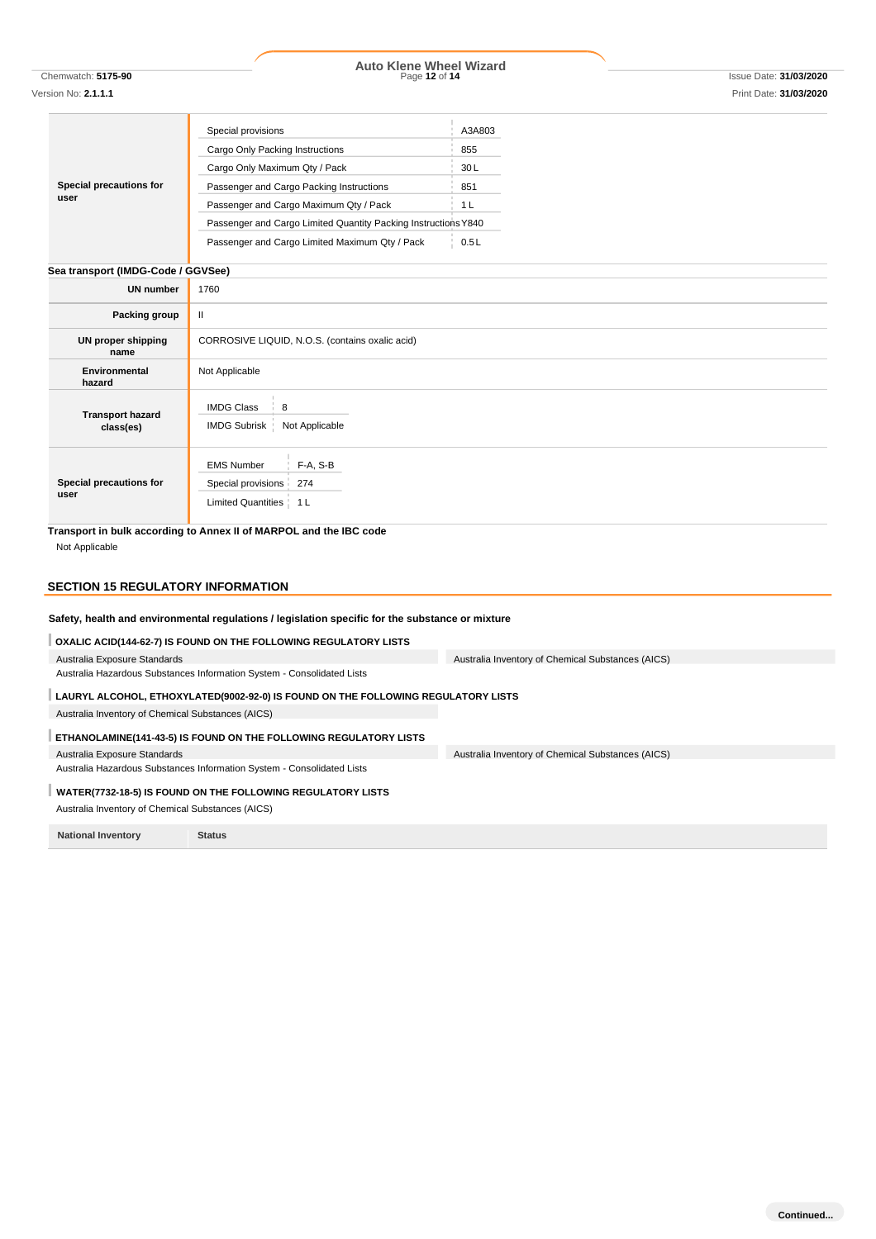**Special precautions for user** Special provisions A3A803 Cargo Only Packing Instructions 855 Cargo Only Maximum Qty / Pack 30 L Passenger and Cargo Packing Instructions 851 Passenger and Cargo Maximum Qty / Pack 1 L Passenger and Cargo Limited Quantity Packing InstructionsY840 Passenger and Cargo Limited Maximum Qty / Pack 0.5L

|--|

| <b>UN number</b>                     | 1760                                                                                  |
|--------------------------------------|---------------------------------------------------------------------------------------|
| Packing group                        | Ш                                                                                     |
| UN proper shipping<br>name           | CORROSIVE LIQUID, N.O.S. (contains oxalic acid)                                       |
| Environmental<br>hazard              | Not Applicable                                                                        |
| <b>Transport hazard</b><br>class(es) | <b>IMDG Class</b><br>$\frac{1}{2}$ 8<br>IMDG Subrisk   Not Applicable                 |
| Special precautions for<br>user      | $F-A, S-B$<br><b>EMS Number</b><br>Special provisions 274<br>Limited Quantities   1 L |

**Transport in bulk according to Annex II of MARPOL and the IBC code** Not Applicable

## **SECTION 15 REGULATORY INFORMATION**

### **Safety, health and environmental regulations / legislation specific for the substance or mixture**

**OXALIC ACID(144-62-7) IS FOUND ON THE FOLLOWING REGULATORY LISTS** Australia Exposure Standards Australia Hazardous Substances Information System - Consolidated Lists Australia Inventory of Chemical Substances (AICS) **LAURYL ALCOHOL, ETHOXYLATED(9002-92-0) IS FOUND ON THE FOLLOWING REGULATORY LISTS** Australia Inventory of Chemical Substances (AICS) **ETHANOLAMINE(141-43-5) IS FOUND ON THE FOLLOWING REGULATORY LISTS** Australia Exposure Standards Australia Hazardous Substances Information System - Consolidated Lists Australia Inventory of Chemical Substances (AICS) **WATER(7732-18-5) IS FOUND ON THE FOLLOWING REGULATORY LISTS** Australia Inventory of Chemical Substances (AICS)

**National Inventory Status**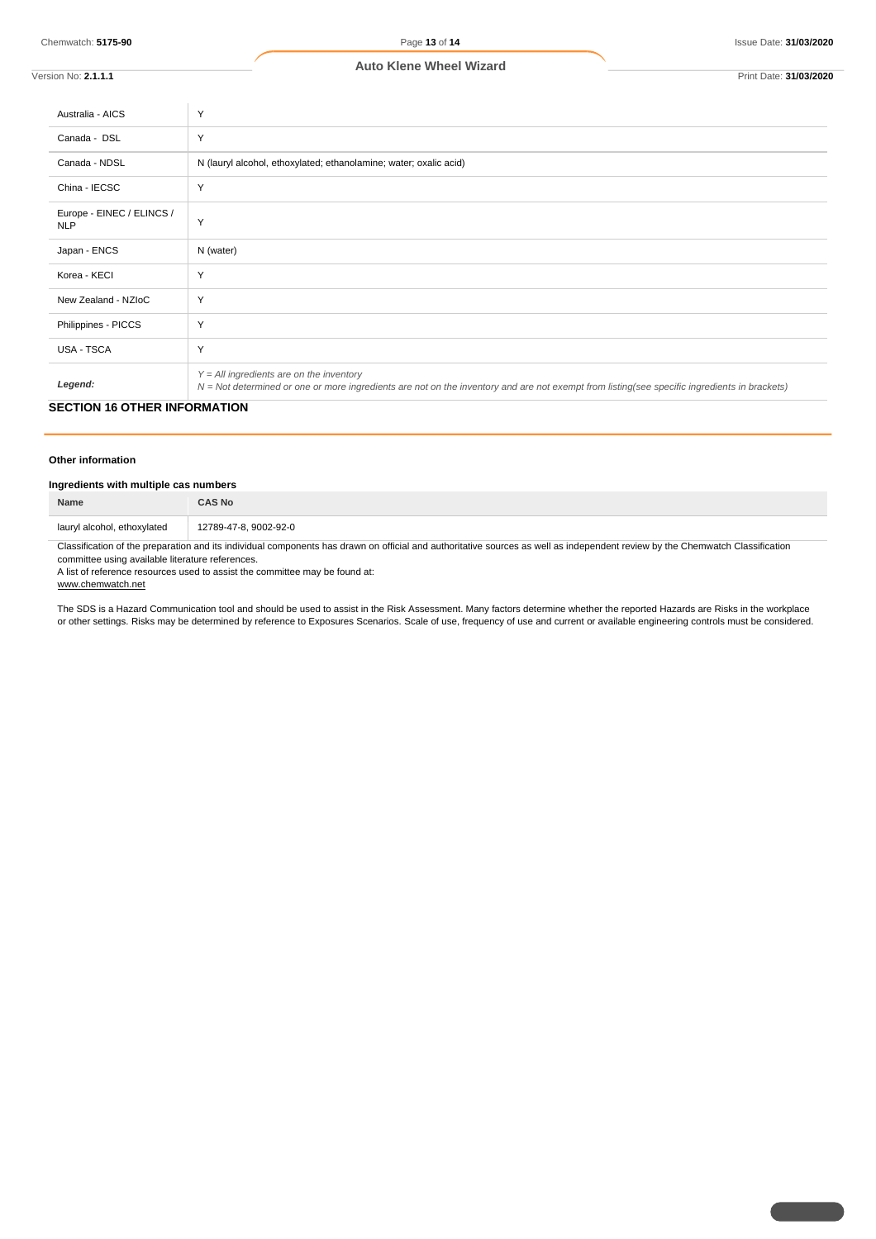Chemwatch: **5175-90** Page **13** of **14** Issue Date: **31/03/2020**

| Version No: <b>2.1.1.1</b>              | Print Date: 31/03/2020                                                                                                                                                                       |
|-----------------------------------------|----------------------------------------------------------------------------------------------------------------------------------------------------------------------------------------------|
| Australia - AICS                        | Y                                                                                                                                                                                            |
| Canada - DSL                            | Y                                                                                                                                                                                            |
| Canada - NDSL                           | N (lauryl alcohol, ethoxylated; ethanolamine; water; oxalic acid)                                                                                                                            |
| China - IECSC                           | Y                                                                                                                                                                                            |
| Europe - EINEC / ELINCS /<br><b>NLP</b> | Y                                                                                                                                                                                            |
| Japan - ENCS                            | N (water)                                                                                                                                                                                    |
| Korea - KECI                            | Y                                                                                                                                                                                            |
| New Zealand - NZIoC                     | Y                                                                                                                                                                                            |
| Philippines - PICCS                     | Y                                                                                                                                                                                            |
| <b>USA - TSCA</b>                       | Y                                                                                                                                                                                            |
| Legend:                                 | $Y = All$ ingredients are on the inventory<br>$N = Not$ determined or one or more ingredients are not on the inventory and are not exempt from listing(see specific ingredients in brackets) |

### **SECTION 16 OTHER INFORMATION**

### **Other information**

## **Ingredients with multiple cas numbers**

| Name                        | :AS No                |
|-----------------------------|-----------------------|
| lauryl alcohol, ethoxylated | 12789-47-8, 9002-92-0 |

Classification of the preparation and its individual components has drawn on official and authoritative sources as well as independent review by the Chemwatch Classification committee using available literature references.

A list of reference resources used to assist the committee may be found at:

www.chemwatch.net

The SDS is a Hazard Communication tool and should be used to assist in the Risk Assessment. Many factors determine whether the reported Hazards are Risks in the workplace or other settings. Risks may be determined by reference to Exposures Scenarios. Scale of use, frequency of use and current or available engineering controls must be considered.